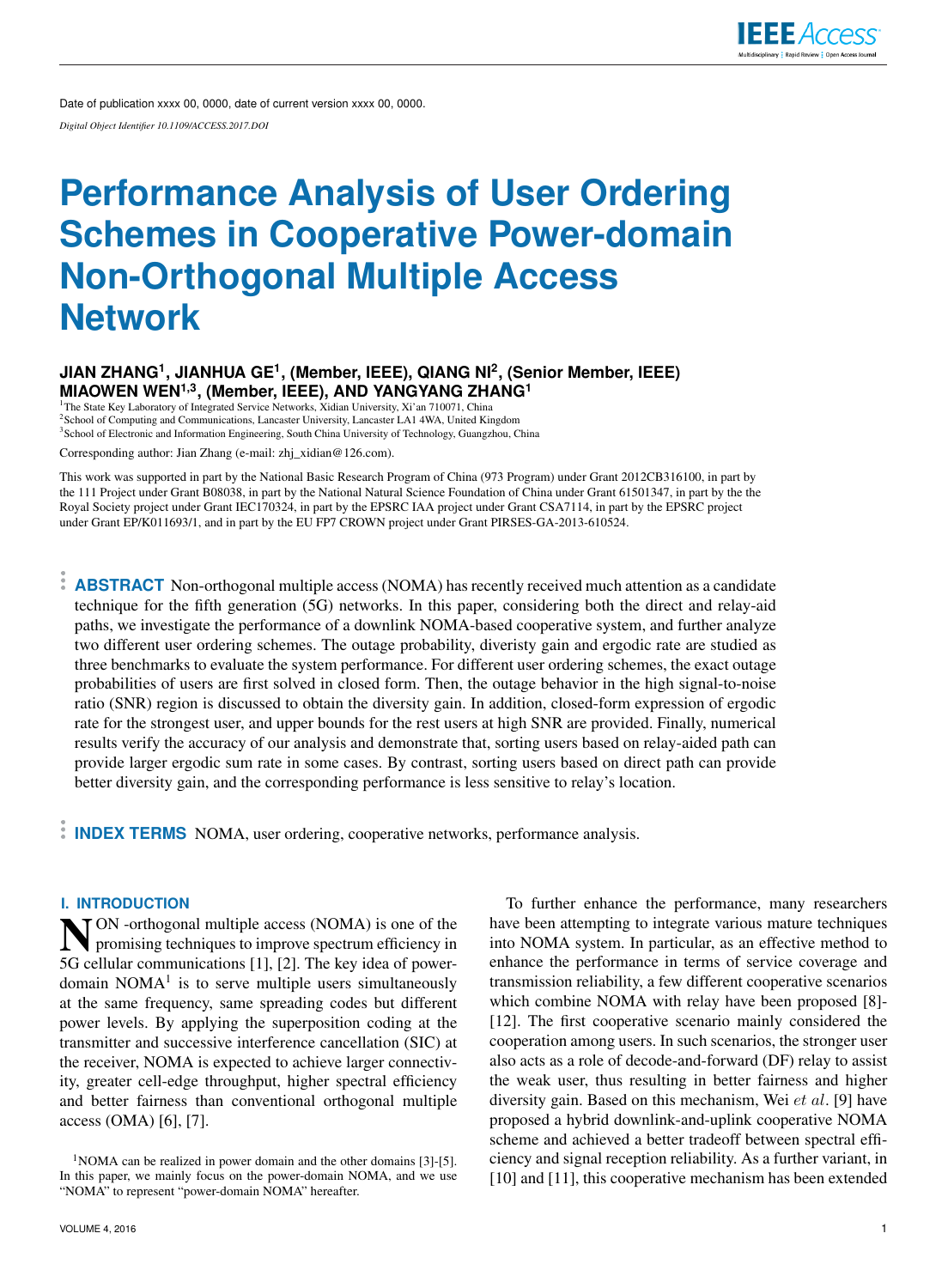Date of publication xxxx 00, 0000, date of current version xxxx 00, 0000.

*Digital Object Identifier 10.1109/ACCESS.2017.DOI*

# **Performance Analysis of User Ordering Schemes in Cooperative Power-domain Non-Orthogonal Multiple Access Network**

## **JIAN ZHANG<sup>1</sup> , JIANHUA GE<sup>1</sup> , (Member, IEEE), QIANG NI<sup>2</sup> , (Senior Member, IEEE) MIAOWEN WEN1,3, (Member, IEEE), AND YANGYANG ZHANG<sup>1</sup>**

<sup>1</sup>The State Key Laboratory of Integrated Service Networks, Xidian University, Xi'an 710071, China <sup>2</sup> School of Computing and Communications, Lancaster University, Lancaster LA1 4WA, United Kingdom <sup>3</sup> School of Electronic and Information Engineering, South China University of Technology, Guangzhou, China

Corresponding author: Jian Zhang (e-mail: zhj\_xidian@126.com).

This work was supported in part by the National Basic Research Program of China (973 Program) under Grant 2012CB316100, in part by the 111 Project under Grant B08038, in part by the National Natural Science Foundation of China under Grant 61501347, in part by the the Royal Society project under Grant IEC170324, in part by the EPSRC IAA project under Grant CSA7114, in part by the EPSRC project under Grant EP/K011693/1, and in part by the EU FP7 CROWN project under Grant PIRSES-GA-2013-610524.

**ABSTRACT** Non-orthogonal multiple access (NOMA) has recently received much attention as a candidate technique for the fifth generation (5G) networks. In this paper, considering both the direct and relay-aid paths, we investigate the performance of a downlink NOMA-based cooperative system, and further analyze two different user ordering schemes. The outage probability, diveristy gain and ergodic rate are studied as three benchmarks to evaluate the system performance. For different user ordering schemes, the exact outage probabilities of users are first solved in closed form. Then, the outage behavior in the high signal-to-noise ratio (SNR) region is discussed to obtain the diversity gain. In addition, closed-form expression of ergodic rate for the strongest user, and upper bounds for the rest users at high SNR are provided. Finally, numerical results verify the accuracy of our analysis and demonstrate that, sorting users based on relay-aided path can provide larger ergodic sum rate in some cases. By contrast, sorting users based on direct path can provide better diversity gain, and the corresponding performance is less sensitive to relay's location.

**INDEX TERMS** NOMA, user ordering, cooperative networks, performance analysis.

#### **I. INTRODUCTION**

N ON -orthogonal multiple access (NOMA) is one of the promising techniques to improve spectrum efficiency in 5G cellular communications [1], [2]. The key idea of power-ON -orthogonal multiple access (NOMA) is one of the promising techniques to improve spectrum efficiency in domain NOM $A<sup>1</sup>$  is to serve multiple users simultaneously at the same frequency, same spreading codes but different power levels. By applying the superposition coding at the transmitter and successive interference cancellation (SIC) at the receiver, NOMA is expected to achieve larger connectivity, greater cell-edge throughput, higher spectral efficiency and better fairness than conventional orthogonal multiple access (OMA) [6], [7].

To further enhance the performance, many researchers have been attempting to integrate various mature techniques into NOMA system. In particular, as an effective method to enhance the performance in terms of service coverage and transmission reliability, a few different cooperative scenarios which combine NOMA with relay have been proposed [8]- [12]. The first cooperative scenario mainly considered the cooperation among users. In such scenarios, the stronger user also acts as a role of decode-and-forward (DF) relay to assist the weak user, thus resulting in better fairness and higher diversity gain. Based on this mechanism, Wei  $et$  al. [9] have proposed a hybrid downlink-and-uplink cooperative NOMA scheme and achieved a better tradeoff between spectral efficiency and signal reception reliability. As a further variant, in [10] and [11], this cooperative mechanism has been extended

<sup>&</sup>lt;sup>1</sup>NOMA can be realized in power domain and the other domains [3]-[5]. In this paper, we mainly focus on the power-domain NOMA, and we use "NOMA" to represent "power-domain NOMA" hereafter.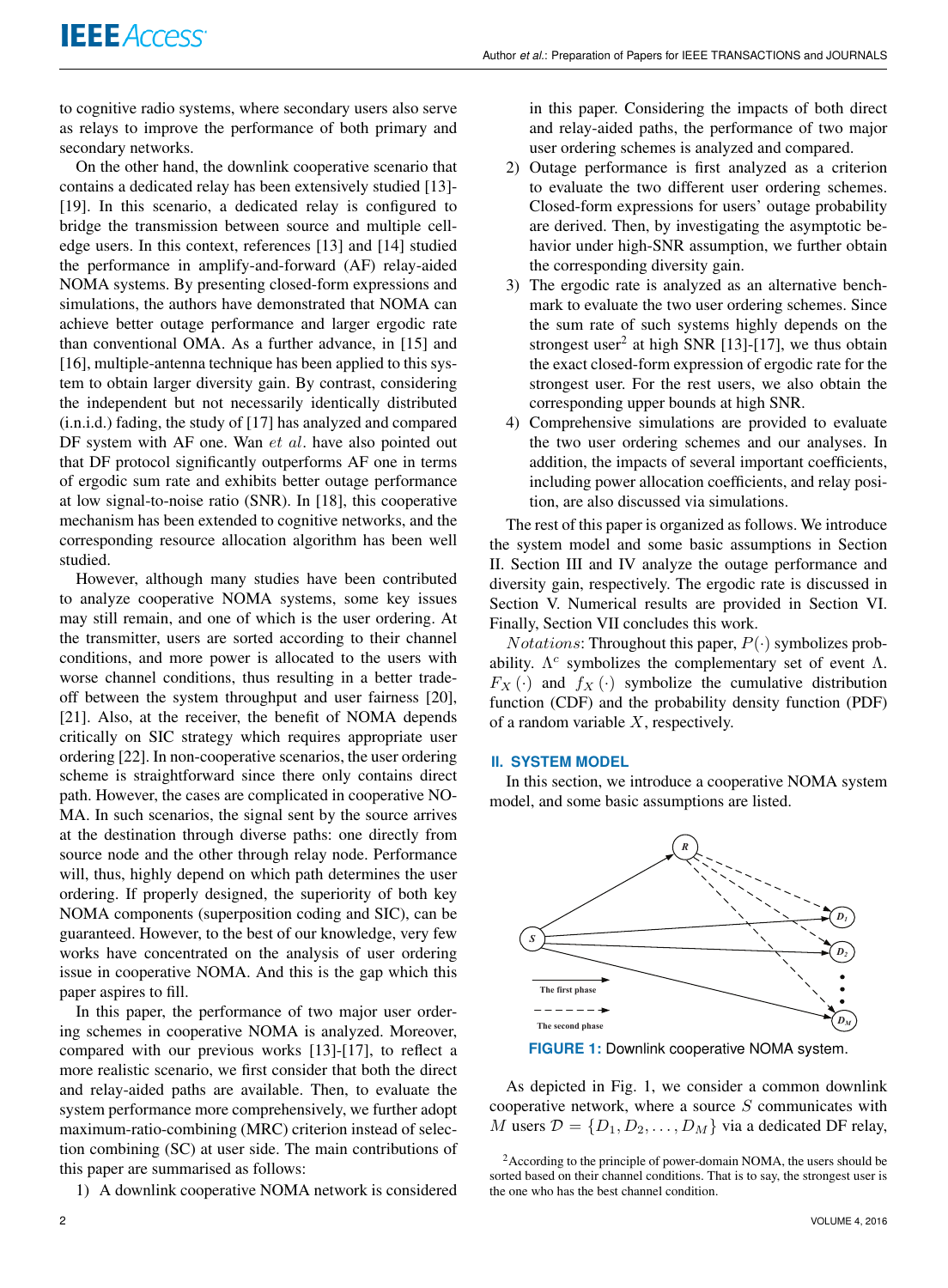to cognitive radio systems, where secondary users also serve as relays to improve the performance of both primary and secondary networks.

On the other hand, the downlink cooperative scenario that contains a dedicated relay has been extensively studied [13]- [19]. In this scenario, a dedicated relay is configured to bridge the transmission between source and multiple celledge users. In this context, references [13] and [14] studied the performance in amplify-and-forward (AF) relay-aided NOMA systems. By presenting closed-form expressions and simulations, the authors have demonstrated that NOMA can achieve better outage performance and larger ergodic rate than conventional OMA. As a further advance, in [15] and [16], multiple-antenna technique has been applied to this system to obtain larger diversity gain. By contrast, considering the independent but not necessarily identically distributed (i.n.i.d.) fading, the study of [17] has analyzed and compared DF system with AF one. Wan et al. have also pointed out that DF protocol significantly outperforms AF one in terms of ergodic sum rate and exhibits better outage performance at low signal-to-noise ratio (SNR). In [18], this cooperative mechanism has been extended to cognitive networks, and the corresponding resource allocation algorithm has been well studied.

However, although many studies have been contributed to analyze cooperative NOMA systems, some key issues may still remain, and one of which is the user ordering. At the transmitter, users are sorted according to their channel conditions, and more power is allocated to the users with worse channel conditions, thus resulting in a better tradeoff between the system throughput and user fairness [20], [21]. Also, at the receiver, the benefit of NOMA depends critically on SIC strategy which requires appropriate user ordering [22]. In non-cooperative scenarios, the user ordering scheme is straightforward since there only contains direct path. However, the cases are complicated in cooperative NO-MA. In such scenarios, the signal sent by the source arrives at the destination through diverse paths: one directly from source node and the other through relay node. Performance will, thus, highly depend on which path determines the user ordering. If properly designed, the superiority of both key NOMA components (superposition coding and SIC), can be guaranteed. However, to the best of our knowledge, very few works have concentrated on the analysis of user ordering issue in cooperative NOMA. And this is the gap which this paper aspires to fill.

In this paper, the performance of two major user ordering schemes in cooperative NOMA is analyzed. Moreover, compared with our previous works [13]-[17], to reflect a more realistic scenario, we first consider that both the direct and relay-aided paths are available. Then, to evaluate the system performance more comprehensively, we further adopt maximum-ratio-combining (MRC) criterion instead of selection combining (SC) at user side. The main contributions of this paper are summarised as follows:

1) A downlink cooperative NOMA network is considered

in this paper. Considering the impacts of both direct and relay-aided paths, the performance of two major user ordering schemes is analyzed and compared.

- 2) Outage performance is first analyzed as a criterion to evaluate the two different user ordering schemes. Closed-form expressions for users' outage probability are derived. Then, by investigating the asymptotic behavior under high-SNR assumption, we further obtain the corresponding diversity gain.
- 3) The ergodic rate is analyzed as an alternative benchmark to evaluate the two user ordering schemes. Since the sum rate of such systems highly depends on the strongest user<sup>2</sup> at high SNR [13]-[17], we thus obtain the exact closed-form expression of ergodic rate for the strongest user. For the rest users, we also obtain the corresponding upper bounds at high SNR.
- 4) Comprehensive simulations are provided to evaluate the two user ordering schemes and our analyses. In addition, the impacts of several important coefficients, including power allocation coefficients, and relay position, are also discussed via simulations.

The rest of this paper is organized as follows. We introduce the system model and some basic assumptions in Section II. Section III and IV analyze the outage performance and diversity gain, respectively. The ergodic rate is discussed in Section V. Numerical results are provided in Section VI. Finally, Section VII concludes this work.

*Notations:* Throughout this paper,  $P(\cdot)$  symbolizes probability.  $\Lambda^c$  symbolizes the complementary set of event  $\Lambda$ .  $F_X(\cdot)$  and  $f_X(\cdot)$  symbolize the cumulative distribution function (CDF) and the probability density function (PDF) of a random variable  $X$ , respectively.

#### **II. SYSTEM MODEL**

In this section, we introduce a cooperative NOMA system model, and some basic assumptions are listed.



**FIGURE 1:** Downlink cooperative NOMA system.

As depicted in Fig. 1, we consider a common downlink cooperative network, where a source  $S$  communicates with M users  $D = \{D_1, D_2, \ldots, D_M\}$  via a dedicated DF relay,

<sup>2</sup>According to the principle of power-domain NOMA, the users should be sorted based on their channel conditions. That is to say, the strongest user is the one who has the best channel condition.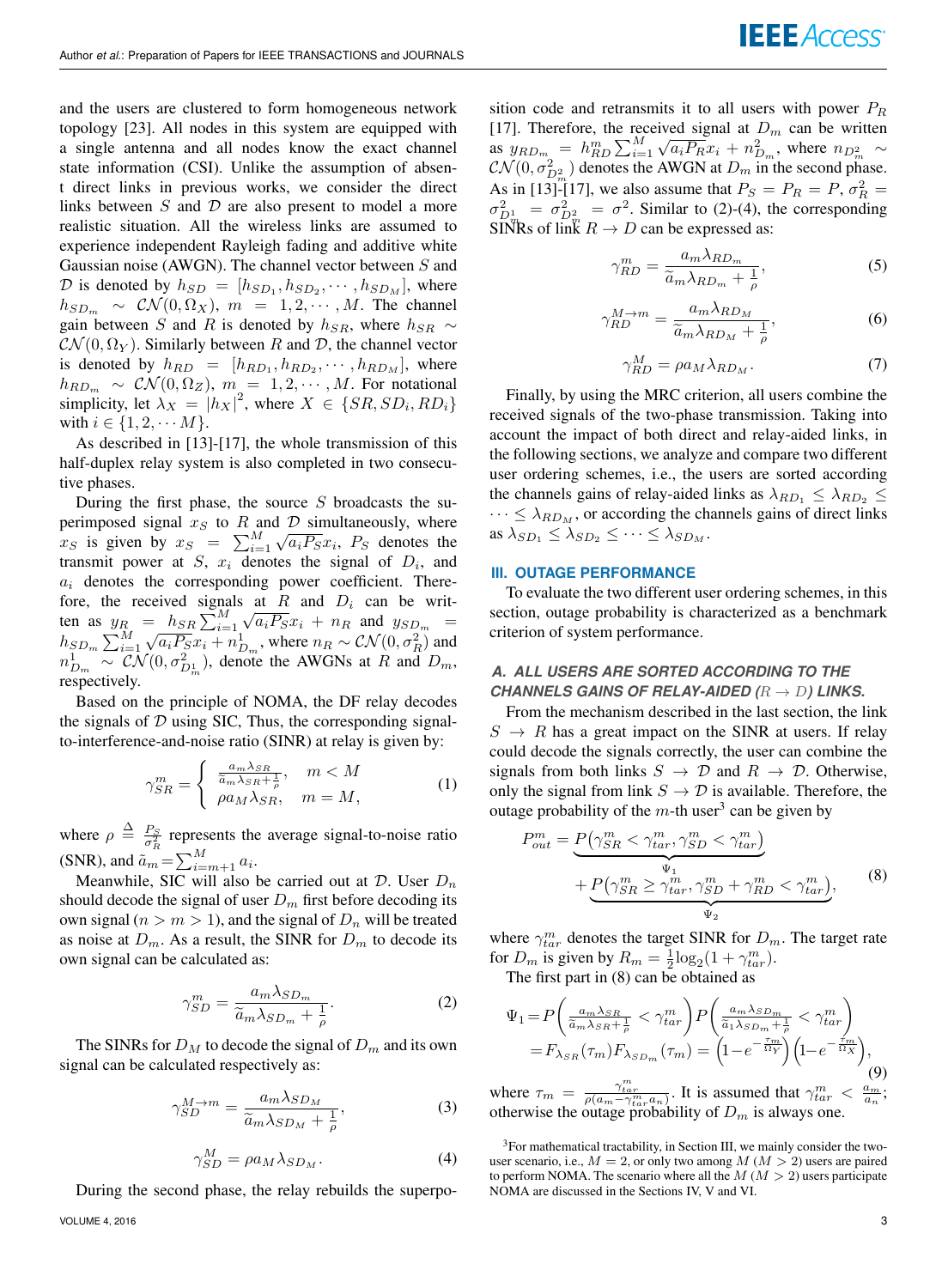and the users are clustered to form homogeneous network topology [23]. All nodes in this system are equipped with a single antenna and all nodes know the exact channel state information (CSI). Unlike the assumption of absent direct links in previous works, we consider the direct links between  $S$  and  $D$  are also present to model a more realistic situation. All the wireless links are assumed to experience independent Rayleigh fading and additive white Gaussian noise (AWGN). The channel vector between  $S$  and  $D$  is denoted by  $h_{SD} = [h_{SD_1}, h_{SD_2}, \cdots, h_{SD_M}]$ , where  $h_{SD_m} \sim \mathcal{CN}(0, \Omega_X), m = 1, 2, \cdots, M$ . The channel gain between S and R is denoted by  $h_{SR}$ , where  $h_{SR} \sim$  $\mathcal{CN}(0,\Omega_Y)$ . Similarly between R and D, the channel vector is denoted by  $h_{RD} = [h_{RD_1}, h_{RD_2}, \cdots, h_{RD_M}]$ , where  $h_{RD_m} \sim \mathcal{CN}(0, \Omega_Z), m = 1, 2, \cdots, M$ . For notational simplicity, let  $\lambda_X = |h_X|^2$ , where  $X \in \{SR, SD_i, RD_i\}$ with  $i \in \{1, 2, \cdots M\}$ .

As described in [13]-[17], the whole transmission of this half-duplex relay system is also completed in two consecutive phases.

During the first phase, the source  $S$  broadcasts the superimposed signal  $x_S$  to R and D simultaneously, where  $x_S$  is given by  $x_S$  =  $\sum_{i=1}^M$  $\sqrt{a_i P_S} x_i$ ,  $P_S$  denotes the transmit power at S,  $x_i$  denotes the signal of  $D_i$ , and  $a_i$  denotes the corresponding power coefficient. Therefore, the received signals at R and  $D_i$  can be written as  $y_R = h_{SR} \sum_{i=1}^{M}$ at *R* and  $D_i$  can be write<br> $\sqrt{a_i P_S} x_i + n_R$  and  $y_{SD_m}$  =  $h_{SD_m}\sum_{i=1}^{M}$  $\frac{n_{SR}}{\sqrt{a_i P_S x_i + n_{D_m}^1}}$ , where  $n_R \sim \mathcal{CN}(0, \sigma_R^2)$  and  $n_{D_m}^1 \sim \mathcal{CN}(0, \sigma_{D_m^1}^2)$ , denote the AWGNs at R and  $D_m$ , respectively.

Based on the principle of NOMA, the DF relay decodes the signals of  $D$  using SIC, Thus, the corresponding signalto-interference-and-noise ratio (SINR) at relay is given by:

$$
\gamma_{SR}^m = \begin{cases}\n\frac{a_m \lambda_{SR}}{\tilde{a}_m \lambda_{SR} + \frac{1}{\rho}}, & m < M \\
\rho a_M \lambda_{SR}, & m = M,\n\end{cases}
$$
\n(1)

where  $\rho \triangleq \frac{P_S}{\sigma_P^2}$  represents the average signal-to-noise ratio (SNR), and  $\tilde{a}_m = \sum_{i=m+1}^{M} a_i$ .

Meanwhile, SIC will also be carried out at  $D$ . User  $D_n$ should decode the signal of user  $D_m$  first before decoding its own signal ( $n > m > 1$ ), and the signal of  $D_n$  will be treated as noise at  $D_m$ . As a result, the SINR for  $D_m$  to decode its own signal can be calculated as:

$$
\gamma_{SD}^{m} = \frac{a_m \lambda_{SD_m}}{\tilde{a}_m \lambda_{SD_m} + \frac{1}{\rho}}.
$$
 (2)

The SINRs for  $D_M$  to decode the signal of  $D_m$  and its own signal can be calculated respectively as:

$$
\gamma_{SD}^{M \to m} = \frac{a_m \lambda_{SD_M}}{\tilde{a}_m \lambda_{SD_M} + \frac{1}{\rho}},\tag{3}
$$

$$
\gamma_{SD}^M = \rho a_M \lambda_{SD_M}.\tag{4}
$$

During the second phase, the relay rebuilds the superpo-

sition code and retransmits it to all users with power  $P_R$ [17]. Therefore, the received signal at  $D_m$  can be written as  $y_{RD_m} = h_{RD}^m \sum_{i=1}^M$ ived signal at  $D_m$  can be written<br> $\sqrt{a_i P_R} x_i + n_{D_m}^2$ , where  $n_{D_m^2} \sim$  $CN(0, \sigma_{D_m^2}^2)$  denotes the AWGN at  $D_m$  in the second phase. As in [13]-[17], we also assume that  $P_S = P_R = P$ ,  $\sigma_R^2 =$  $\sigma_{D_1^1}^2 = \sigma_{D_{\tilde{X}}^2}^2 = \sigma^2$ . Similar to (2)-(4), the corresponding SINRs of link  $R \to D$  can be expressed as:

$$
\gamma_{RD}^{m} = \frac{a_m \lambda_{RD_m}}{\tilde{a}_m \lambda_{RD_m} + \frac{1}{\rho}},\tag{5}
$$

$$
\gamma_{RD}^{M \to m} = \frac{a_m \lambda_{RD_M}}{\tilde{a}_m \lambda_{RD_M} + \frac{1}{\rho}},\tag{6}
$$

$$
\gamma_{RD}^M = \rho a_M \lambda_{RD_M}.\tag{7}
$$

Finally, by using the MRC criterion, all users combine the received signals of the two-phase transmission. Taking into account the impact of both direct and relay-aided links, in the following sections, we analyze and compare two different user ordering schemes, i.e., the users are sorted according the channels gains of relay-aided links as  $\lambda_{RD_1} \leq \lambda_{RD_2} \leq$  $\cdots \leq \lambda_{RD_M}$ , or according the channels gains of direct links as  $\lambda_{SD_1} \leq \lambda_{SD_2} \leq \cdots \leq \lambda_{SD_M}$ .

#### **III. OUTAGE PERFORMANCE**

To evaluate the two different user ordering schemes, in this section, outage probability is characterized as a benchmark criterion of system performance.

#### *A. ALL USERS ARE SORTED ACCORDING TO THE CHANNELS GAINS OF RELAY-AIDED (*R → D*) LINKS.*

From the mechanism described in the last section, the link  $S \rightarrow R$  has a great impact on the SINR at users. If relay could decode the signals correctly, the user can combine the signals from both links  $S \to \mathcal{D}$  and  $R \to \mathcal{D}$ . Otherwise, only the signal from link  $S \to \mathcal{D}$  is available. Therefore, the outage probability of the  $m$ -th user<sup>3</sup> can be given by

$$
P_{out}^{m} = \underbrace{P(\gamma_{SR}^{m} < \gamma_{tar}^{m}, \gamma_{SD}^{m} < \gamma_{tar}^{m})}_{\Psi_{1}} + \underbrace{P(\gamma_{SR}^{m} \geq \gamma_{tar}^{m}, \gamma_{SD}^{m} + \gamma_{RD}^{m} < \gamma_{tar}^{m})}_{\Psi_{2}}, \tag{8}
$$

where  $\gamma_{tar}^{m}$  denotes the target SINR for  $D_m$ . The target rate for  $D_m$  is given by  $R_m = \frac{1}{2} \log_2(1 + \gamma_{tar}^m)$ .

The first part in (8) can be obtained as

$$
\Psi_{1} = P\left(\frac{a_{m}\lambda_{SR}}{\tilde{a}_{m}\lambda_{SR} + \frac{1}{\rho}} < \gamma_{tar}^{m}\right) P\left(\frac{a_{m}\lambda_{SD_{m}}}{\tilde{a}_{1}\lambda_{SD_{m}} + \frac{1}{\rho}} < \gamma_{tar}^{m}\right)
$$
\n
$$
= F_{\lambda_{SR}}(\tau_{m}) F_{\lambda_{SD_{m}}}(\tau_{m}) = \left(1 - e^{-\frac{\tau_{m}}{\Omega_{Y}}}\right) \left(1 - e^{-\frac{\tau_{m}}{\Omega_{X}}}\right), \tag{9}
$$

where  $\tau_m = \frac{\gamma_{tar}^m}{\rho(a_m - \gamma_{tar}^m a_n)}$ . It is assumed that  $\gamma_{tar}^m < \frac{a_m}{a_n}$ ; otherwise the outage probability of  $D_m$  is always one.

<sup>&</sup>lt;sup>3</sup>For mathematical tractability, in Section III, we mainly consider the twouser scenario, i.e.,  $M = 2$ , or only two among  $M (M > 2)$  users are paired to perform NOMA. The scenario where all the  $M (M > 2)$  users participate NOMA are discussed in the Sections IV, V and VI.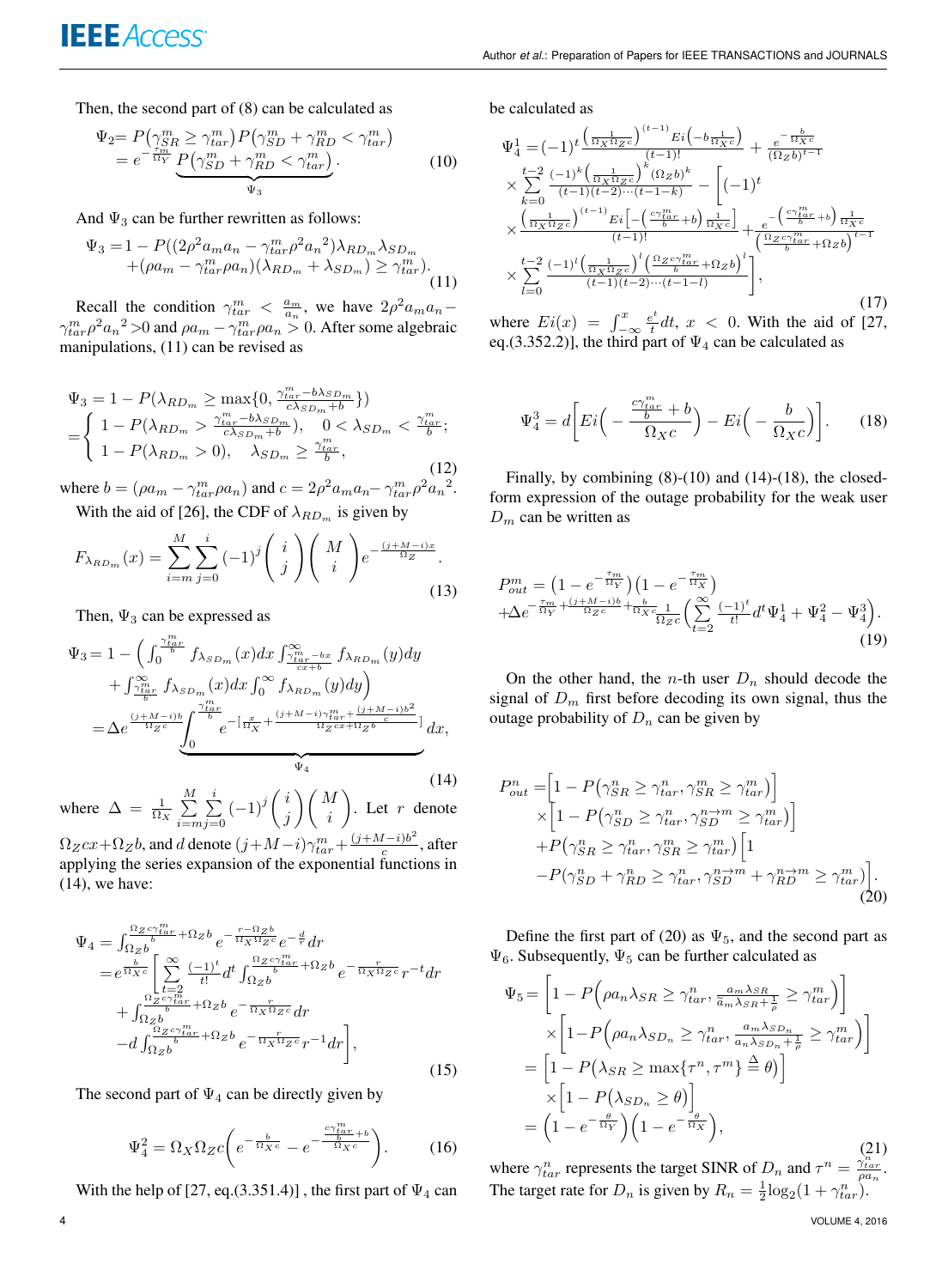Then, the second part of (8) can be calculated as

$$
\Psi_2 = P\left(\gamma_{SR}^m \ge \gamma_{tar}^m\right) P\left(\gamma_{SD}^m + \gamma_{RD}^m < \gamma_{tar}^m\right) \n= e^{-\frac{\tau_m}{\Omega_Y}} P\left(\gamma_{SD}^m + \gamma_{RD}^m < \gamma_{tar}^m\right).
$$
\n(10)

And  $\Psi_3$  can be further rewritten as follows:

$$
\Psi_3 = 1 - P((2\rho^2 a_m a_n - \gamma_{tar}^m \rho^2 a_n^2) \lambda_{RD_m} \lambda_{SD_m} + (\rho a_m - \gamma_{tar}^m \rho a_n)(\lambda_{RD_m} + \lambda_{SD_m}) \ge \gamma_{tar}^m).
$$
\n(11)

Recall the condition  $\gamma_{tar}^m < \frac{a_m}{a_n}$ , we have  $2\rho^2 a_m a_n$  –  $\gamma_{tar}^m \rho^2 a_n^2 > 0$  and  $\rho a_m - \gamma_{tar}^m \rho a_n > 0$ . After some algebraic manipulations, (11) can be revised as

$$
\Psi_3 = 1 - P(\lambda_{RD_m} \ge \max\{0, \frac{\gamma_{tar}^m - b\lambda_{SD_m}}{c\lambda_{SD_m} + b}\})
$$
\n
$$
= \begin{cases}\n1 - P(\lambda_{RD_m} > \frac{\gamma_{tar}^m - b\lambda_{SD_m}}{c\lambda_{SD_m} + b}), & 0 < \lambda_{SD_m} < \frac{\gamma_{tar}^m}{b}; \\
1 - P(\lambda_{RD_m} > 0), & \lambda_{SD_m} \ge \frac{\gamma_{tar}^m}{b},\n\end{cases} \tag{12}
$$

where  $b = (\rho a_m - \gamma_{tar}^m \rho a_n)$  and  $c = 2\rho^2 a_m a_n - \gamma_{tar}^m \rho^2 a_n^2$ . With the aid of [26], the CDF of  $\lambda_{RD_m}$  is given by

$$
F_{\lambda_{RDm}}(x) = \sum_{i=m}^{M} \sum_{j=0}^{i} (-1)^j \binom{i}{j} \binom{M}{i} e^{-\frac{(j+M-i)x}{\Omega_Z}}.
$$
\n(13)

Then,  $\Psi_3$  can be expressed as

$$
\Psi_{3} = 1 - \left( \int_{0}^{\frac{\gamma_{tar}^{m}}{b}} f_{\lambda_{SD_{m}}}(x) dx \int_{\frac{\gamma_{tar}^{m}}{cx+b}}^{\infty} f_{\lambda_{RD_{m}}}(y) dy + \int_{\frac{\gamma_{tar}^{m}}{b}}^{\infty} f_{\lambda_{SD_{m}}}(x) dx \int_{0}^{\infty} f_{\lambda_{RD_{m}}}(y) dy \right) \n= \Delta e^{\frac{(j+M-i)b}{\Omega_{Z}c}} \underbrace{\int_{0}^{\frac{\gamma_{tar}^{m}}{b}} e^{-\left[\frac{x}{\Omega_{X}} + \frac{(j+M-i)\gamma_{tar}^{m} + \frac{(j+M-i)b^{2}}{\Omega_{Z}cx+\Omega_{Z}b}}\right]}_{\Psi_{4}} dx, \tag{14}
$$

where  $\Delta = \frac{1}{\Omega_X} \sum_{n=1}^{M}$  $i = m$  $\sum_{i=1}^{i}$  $j=0$  $(-1)^{j} \binom{i}{j}$ j  $\setminus/M$ i ). Let  $r$  denote

 $\Omega_Z c x + \Omega_Z b$ , and d denote  $(j+M-i) \gamma_{tar}^m + \frac{(j+M-i)b^2}{c}$  $\frac{a^{i} - i}{c}$ , after applying the series expansion of the exponential functions in (14), we have:

$$
\Psi_{4} = \int_{\Omega_{Z}b}^{\Omega_{Z}c\gamma_{tar}^{n}} + \Omega_{Z}b e^{-\frac{r-\Omega_{Z}b}{\Omega_{X}\Omega_{Z}c}} e^{-\frac{d}{r}} dr \n= e^{\frac{b}{\Omega_{X}c}} \left[ \sum_{t=2}^{\infty} \frac{(-1)^{t}}{t!} d^{t} \int_{\Omega_{Z}b}^{\Omega_{Z}c\gamma_{tar}^{n}} + \Omega_{Z}b e^{-\frac{r}{\Omega_{X}\Omega_{Z}c}} r^{-t} dr \n+ \int_{\Omega_{Z}b}^{\Omega_{Z}c\gamma_{tar}^{n}} + \Omega_{Z}b e^{-\frac{r}{\Omega_{X}\Omega_{Z}c}} dr \n- d \int_{\Omega_{Z}b}^{\Omega_{Z}c\gamma_{tar}^{n}} + \Omega_{Z}b e^{-\frac{r}{\Omega_{X}\Omega_{Z}c}} r^{-1} dr \right],
$$
\n(15)

The second part of  $\Psi_4$  can be directly given by

$$
\Psi_4^2 = \Omega_X \Omega_Z c \left( e^{-\frac{b}{\Omega_X c}} - e^{-\frac{\frac{c \gamma_{tar}^m}{b} + b}{\Omega_X c}} \right). \tag{16}
$$

With the help of [27, eq.(3.351.4)], the first part of  $\Psi_4$  can

be calculated as

$$
\Psi_{4}^{1} = (-1)^{t} \frac{\left(\frac{1}{\Omega_{X}\Omega_{Z}c}\right)^{(t-1)} E_{i}\left(-b\frac{1}{\Omega_{X}c}\right)}{(t-1)!} + \frac{e^{-\frac{b}{\Omega_{X}c}}}{(\Omega_{Z}b)^{t-1}} \times \sum_{k=0}^{t-2} \frac{(-1)^{k} \left(\frac{1}{\Omega_{X}\Omega_{Z}c}\right)^{k} (\Omega_{Z}b)^{k}}{(t-1)(t-2)\cdots(t-1-k)} - \left[(-1)^{t} \times \frac{\left(\frac{1}{\Omega_{X}\Omega_{Z}c}\right)^{(t-1)} E_{i}\left[-\left(\frac{c\gamma_{tar}^{m}}{b}+b\right)\frac{1}{\Omega_{X}c}\right]}{(t-1)!} + \frac{e^{-\left(\frac{c\gamma_{tar}^{m}}{b}+b\right)\frac{1}{\Omega_{X}c}}}{\left(\frac{\Omega_{Z}c\gamma_{tar}^{m}}{t}\right)^{t-1}} \times \sum_{l=0}^{t-2} \frac{(-1)^{l} \left(\frac{1}{\Omega_{X}\Omega_{Z}c}\right)^{l} \left(\frac{\Omega_{Z}c\gamma_{tar}^{m}}{b} + \Omega_{Z}b\right)^{l}}}{(t-1)(t-2)\cdots(t-1-l)} \bigg], \tag{17}
$$

where  $Ei(x) = \int_{-\infty}^{x} \frac{e^t}{t}$  $\frac{\partial^2}{\partial t}dt$ ,  $x < 0$ . With the aid of [27, eq.(3.352.2)], the third part of  $\Psi_4$  can be calculated as

$$
\Psi_4^3 = d \bigg[ E i \bigg( - \frac{\frac{c \gamma_{tar}^m}{b} + b}{\Omega_X c} \bigg) - E i \bigg( - \frac{b}{\Omega_X c} \bigg) \bigg]. \tag{18}
$$

Finally, by combining  $(8)-(10)$  and  $(14)-(18)$ , the closedform expression of the outage probability for the weak user  $D_m$  can be written as

$$
P_{out}^{m} = \left(1 - e^{-\frac{\tau_m}{\Omega_Y}}\right) \left(1 - e^{-\frac{\tau_m}{\Omega_X}}\right) + \Delta e^{-\frac{\tau_m}{\Omega_Y} + \frac{(j + M - i)b}{\Omega_Z c} + \frac{b}{\Omega_Z c}} \left(\sum_{t=2}^{\infty} \frac{(-1)^t}{t!} d^t \Psi_4^1 + \Psi_4^2 - \Psi_4^3\right).
$$
(19)

On the other hand, the *n*-th user  $D_n$  should decode the signal of  $D_m$  first before decoding its own signal, thus the outage probability of  $D_n$  can be given by

$$
P_{out}^{n} = \left[1 - P\left(\gamma_{SR}^{n} \geq \gamma_{tar}^{n}, \gamma_{SR}^{m} \geq \gamma_{tar}^{m}\right)\right] \times \left[1 - P\left(\gamma_{SD}^{n} \geq \gamma_{tar}^{n}, \gamma_{SD}^{n \to m} \geq \gamma_{tar}^{m}\right)\right] + P\left(\gamma_{SR}^{n} \geq \gamma_{tar}^{n}, \gamma_{SR}^{m} \geq \gamma_{tar}^{m}\right)\left[1 - P(\gamma_{SD}^{n} + \gamma_{RD}^{n} \geq \gamma_{tar}^{n}, \gamma_{SD}^{n}^{m} + \gamma_{RD}^{n \to m} \geq \gamma_{tar}^{m}\right)\right].
$$
\n(20)

Define the first part of (20) as  $\Psi_5$ , and the second part as  $\Psi_6$ . Subsequently,  $\Psi_5$  can be further calculated as

$$
\Psi_{5} = \left[1 - P\left(\rho a_{n} \lambda_{SR} \geq \gamma_{tar}^{n}, \frac{a_{m} \lambda_{SR}}{\tilde{a}_{m} \lambda_{SR} + \frac{1}{\rho}} \geq \gamma_{tar}^{m}\right)\right] \times \left[1 - P\left(\rho a_{n} \lambda_{SD_{n}} \geq \gamma_{tar}^{n}, \frac{a_{m} \lambda_{SD_{n}}}{a_{n} \lambda_{SD_{n}} + \frac{1}{\rho}} \geq \gamma_{tar}^{m}\right)\right]
$$
\n
$$
= \left[1 - P\left(\lambda_{SR} \geq \max\{\tau^{n}, \tau^{m}\} \stackrel{\Delta}{=} \theta\right)\right] \times \left[1 - P\left(\lambda_{SD_{n}} \geq \theta\right)\right] \times \left[1 - e^{-\frac{\theta}{\Omega_{Y}}}\right)\left(1 - e^{-\frac{\theta}{\Omega_{X}}}\right), \tag{21}
$$

where  $\gamma_{tar}^n$  represents the target SINR of  $D_n$  and  $\tau^n = \frac{\gamma_{tar}^n}{\rho a_n}$ . The target rate for  $D_n$  is given by  $R_n = \frac{1}{2} \log_2(1 + \gamma_{tar}^n)$ .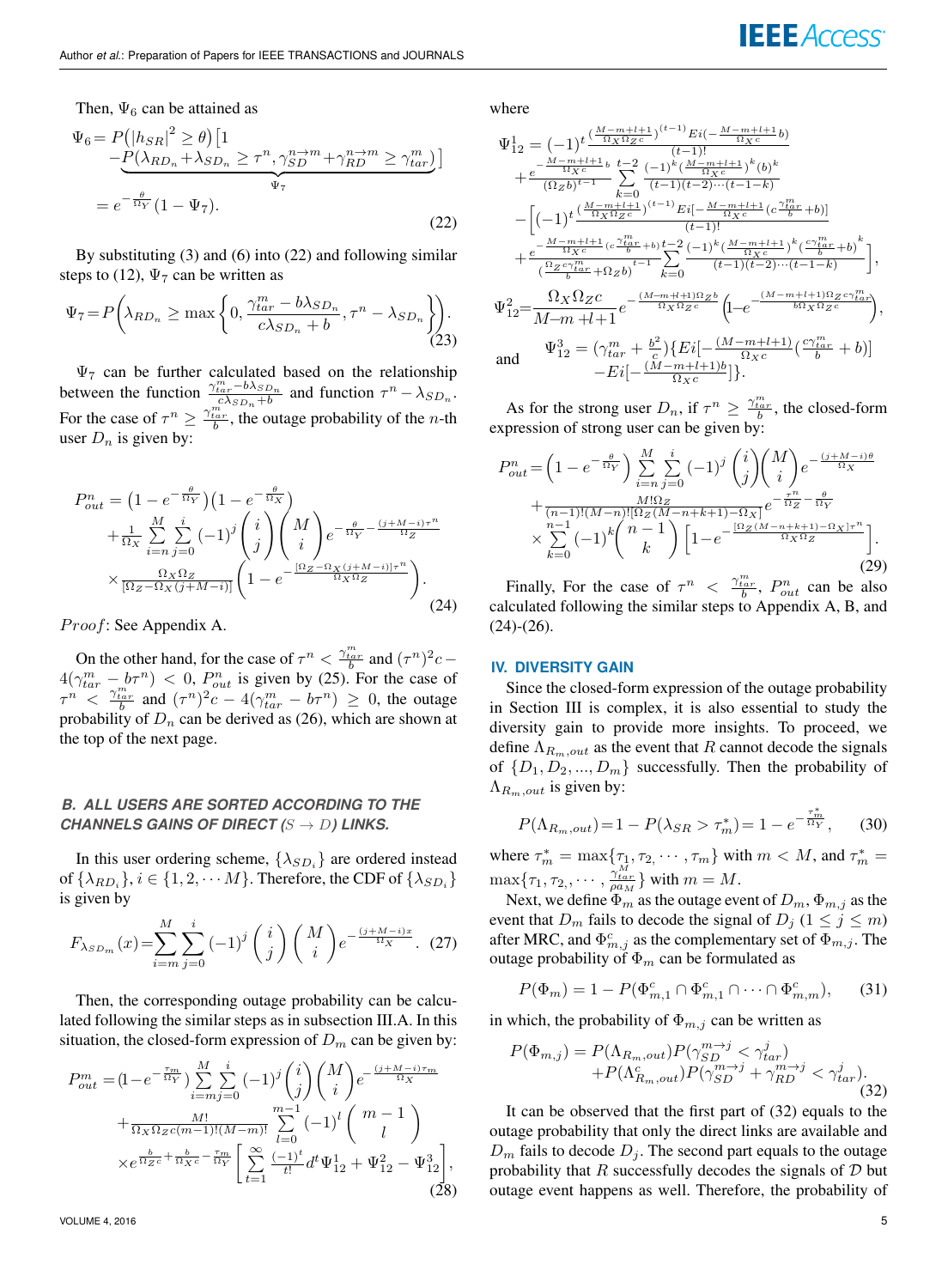Then,  $\Psi_6$  can be attained as

$$
\Psi_6 = P(|h_{SR}|^2 \ge \theta) \left[ 1 - \underbrace{P(\lambda_{RD_n} + \lambda_{SD_n} \ge \tau^n, \gamma_{SD}^{n \to m} + \gamma_{RD}^{n \to m} \ge \gamma_{tar}^m)}_{\Psi_7} \right]
$$
\n
$$
= e^{-\frac{\theta}{\Omega_Y}} (1 - \Psi_7).
$$
\n(22)

By substituting (3) and (6) into (22) and following similar steps to (12),  $\Psi$ <sub>7</sub> can be written as

$$
\Psi_7 = P\left(\lambda_{RD_n} \ge \max\left\{0, \frac{\gamma_{tar}^m - b\lambda_{SD_n}}{c\lambda_{SD_n} + b}, \tau^n - \lambda_{SD_n}\right\}\right).
$$
\n(23)

 $\Psi$ <sub>7</sub> can be further calculated based on the relationship between the function  $\frac{\gamma_{tar}^{m} - b\lambda_{SDn}}{c\lambda_{SDn} + b}$  $\frac{a_n - b\lambda_{SD_n}}{c\lambda_{SD_n} + b}$  and function  $\tau^n - \lambda_{SD_n}$ . For the case of  $\tau^n \geq \frac{\gamma_{tar}^{m}}{b}$ , the outage probability of the *n*-th user  $D_n$  is given by:

$$
P_{out}^{n} = \left(1 - e^{-\frac{\theta}{\Omega_{Y}}}\right)\left(1 - e^{-\frac{\theta}{\Omega_{X}}}\right)
$$

$$
+ \frac{1}{\Omega_{X}}\sum_{i=n}^{M}\sum_{j=0}^{i}\left(-1\right)^{j}\binom{i}{j}\binom{M}{i}e^{-\frac{\theta}{\Omega_{Y}}-\frac{(j+M-i)\tau^{n}}{\Omega_{Z}}}
$$

$$
\times \frac{\Omega_{X}\Omega_{Z}}{\left[\Omega_{Z}-\Omega_{X}\left(j+M-i\right)\right]}\left(1 - e^{-\frac{\left[\Omega_{Z}-\Omega_{X}\left(j+M-i\right)\right]\tau^{n}}{\Omega_{X}\Omega_{Z}}}\right).
$$
(24)

Proof: See Appendix A.

On the other hand, for the case of  $\tau^n < \frac{\gamma_{tar}^m}{b}$  and  $(\tau^n)^2 c 4(\gamma_{tar}^m - br^m) < 0$ ,  $P_{out}^n$  is given by (25). For the case of  $\tau^n \leq \frac{\gamma_{tar}^m}{b}$  and  $(\tau^n)^2 c - 4(\gamma_{tar}^m - b\tau^n) \geq 0$ , the outage probability of  $D_n$  can be derived as (26), which are shown at the top of the next page.

#### *B. ALL USERS ARE SORTED ACCORDING TO THE CHANNELS GAINS OF DIRECT (*S → D*) LINKS.*

In this user ordering scheme,  $\{\lambda_{SD_i}\}$  are ordered instead of  $\{\lambda_{RD_i}\}, i \in \{1, 2, \cdots M\}$ . Therefore, the CDF of  $\{\lambda_{SD_i}\}$ is given by

$$
F_{\lambda_{SDm}}(x) = \sum_{i=m}^{M} \sum_{j=0}^{i} (-1)^{j} {i \choose j} {M \choose i} e^{-\frac{(j+M-i)x}{\Omega_X}}.
$$
 (27)

Then, the corresponding outage probability can be calculated following the similar steps as in subsection III.A. In this situation, the closed-form expression of  $D_m$  can be given by:

$$
P_{out}^{m} = (1 - e^{-\frac{\tau_{m}}{\Omega_{Y}}}) \sum_{i=m}^{M} \sum_{j=0}^{i} (-1)^{j} {i \choose j} {M \choose i} e^{-\frac{(j+M-i)\tau_{m}}{\Omega_{X}}} + \frac{1}{\Omega_{X}\Omega_{Z}c(m-1)!(M-m)!} \sum_{l=0}^{m-1} (-1)^{l} {m-1 \choose l} \times e^{\frac{b}{\Omega_{Z}c} + \frac{b}{\Omega_{X}c} - \frac{\tau_{m}}{\Omega_{Y}}} \left[ \sum_{t=1}^{\infty} \frac{(-1)^{t}}{t!} d^{t} \Psi_{12}^{1} + \Psi_{12}^{2} - \Psi_{12}^{3} \right],
$$
\n(28)

VOLUME 4, 2016 5

where

$$
\begin{array}{l} \Psi^1_{12} = (-1)^t\frac{(\frac{M-m+l+1}{\Omega_X\Omega_Zc})^{(t-1)}Ei(-\frac{M-m+l+1}{\Omega_Xc})}{(t-1)!} \\ \quad + \frac{e^{-\frac{M-m+l+1}{\Omega_Xc}}}{(\Omega_Zb)^{t-1}}\sum_{k=0}^{t-2} \frac{(-1)^k(\frac{M-m+l+1}{\Omega_Xc})^k(b)^k}{(t-1)(t-2)\cdots(t-1-k)} \\ \quad - \left[ (-1)^t\frac{(\frac{M-m+l+1}{\Omega_X\Omega_Zc})^{(t-1)}Ei[-\frac{M-m+l+1}{\Omega_Xc} (c\frac{\gamma_{tar}^m}{b}+b)]}{(t-1)!} \\ \quad + \frac{e^{-\frac{M-m+l+1}{\Omega_Xc} (c\frac{\gamma_{tar}^m}{b}+b)t-2}(-1)^k(\frac{M-m+l+1}{\Omega_Xc})^k(\frac{c\gamma_{tar}^m}{b}+b)^k}{(\frac{\Omega_Zc\gamma_{tar}^m}{b}+\Omega_Zb)}\right],\\ \Psi^2_{12} = \frac{\Omega_X\Omega_Zc}{M-m+l+1}e^{-\frac{(M-m+l+1)\Omega_Zb}{\Omega_X\Omega_Zc}}\left(1-e^{-\frac{(M-m+l+1)\Omega_Zc\gamma_{tar}^m}{b\Omega_X\Omega_Zc}}\right),\\ \Psi^3_{12} = (\gamma_{tar}^m + \frac{b^2}{c})\{Ei[-\frac{(M-m+l+1)}{\Omega_Xc} (\frac{c\gamma_{tar}^m}{b}+b)]\\ \text{and}\qquad -Ei[-\frac{(M-m+l+1)b}{\Omega_Xc}] \}.\end{array}
$$

**IEEE** Access

As for the strong user  $D_n$ , if  $\tau^n \geq \frac{\gamma_{tar}^{m}}{b}$ , the closed-form expression of strong user can be given by:

$$
P_{out}^{n} = \left(1 - e^{-\frac{\theta}{\Omega_{Y}}}\right) \sum_{i=n}^{M} \sum_{j=0}^{i} (-1)^{j} {i \choose j} {M \choose i} e^{-\frac{(j+M-i)\theta}{\Omega_{X}}} + \frac{M! \Omega_{Z}}{(n-1)!(M-n)![\Omega_{Z}(M-n+k+1)-\Omega_{X}]} e^{-\frac{\tau^{n}}{\Omega_{Z}} - \frac{\theta}{\Omega_{Y}}} \times \sum_{k=0}^{n-1} (-1)^{k} {n-1 \choose k} \left[1 - e^{-\frac{[\Omega_{Z}(M-n+k+1)-\Omega_{X}] \tau^{n}}{\Omega_{X} \Omega_{Z}}}\right].
$$
\n(29)

Finally, For the case of  $\tau^n < \frac{\gamma_{tar}^m}{b}$ ,  $P_{out}^n$  can be also calculated following the similar steps to Appendix A, B, and  $(24)-(26)$ .

#### **IV. DIVERSITY GAIN**

Since the closed-form expression of the outage probability in Section III is complex, it is also essential to study the diversity gain to provide more insights. To proceed, we define  $\Lambda_{R_m,out}$  as the event that R cannot decode the signals of  $\{D_1, D_2, ..., D_m\}$  successfully. Then the probability of  $\Lambda_{R_m,out}$  is given by:

$$
P(\Lambda_{R_m,out}) = 1 - P(\lambda_{SR} > \tau_m^*) = 1 - e^{-\frac{\tau_m^*}{\Omega_Y}}, \quad (30)
$$

where  $\tau_m^* = \max\{\tau_1, \tau_2, \cdots, \tau_m\}$  with  $m < M$ , and  $\tau_m^* =$  $\max\{\tau_1, \tau_2, \cdots, \frac{\gamma^M_{tar}}{\rho a_M}\}$  with  $m=M.$ 

Next, we define  $\Phi_m$  as the outage event of  $D_m$ ,  $\Phi_{m,j}$  as the event that  $D_m$  fails to decode the signal of  $D_j$  ( $1 \le j \le m$ ) after MRC, and  $\Phi_{m,j}^c$  as the complementary set of  $\Phi_{m,j}$ . The outage probability of  $\Phi_m$  can be formulated as

$$
P(\Phi_m) = 1 - P(\Phi_{m,1}^c \cap \Phi_{m,1}^c \cap \dots \cap \Phi_{m,m}^c), \quad (31)
$$

in which, the probability of  $\Phi_{m,j}$  can be written as

$$
P(\Phi_{m,j}) = P(\Lambda_{R_m,out}) P(\gamma_{SD}^{m \to j} < \gamma_{tar}^j) + P(\Lambda_{R_m,out}^c) P(\gamma_{SD}^{m \to j} + \gamma_{RD}^{m \to j} < \gamma_{tar}^j). \tag{32}
$$

It can be observed that the first part of (32) equals to the outage probability that only the direct links are available and  $D_m$  fails to decode  $D_j$ . The second part equals to the outage probability that  $R$  successfully decodes the signals of  $D$  but outage event happens as well. Therefore, the probability of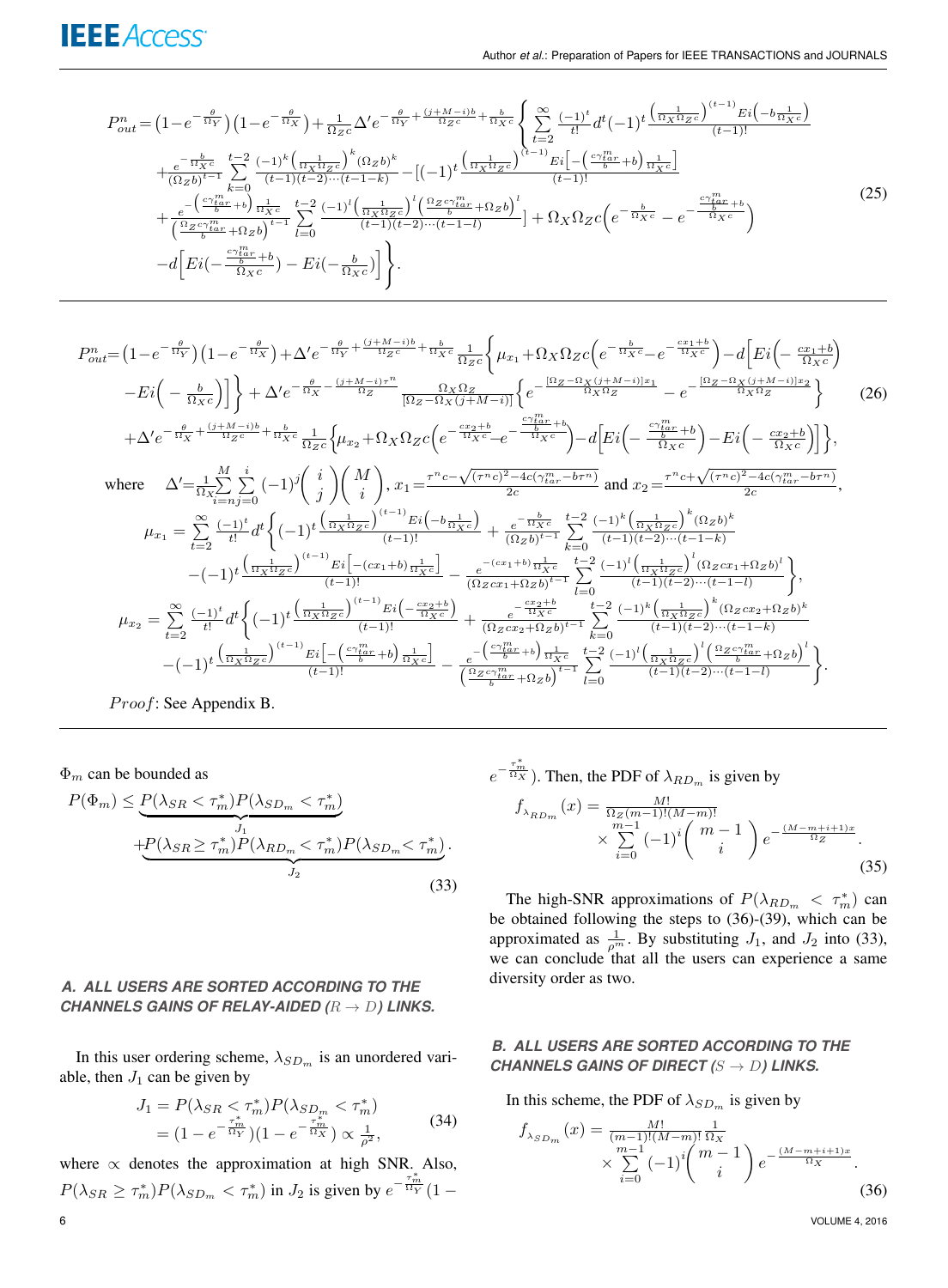$$
P_{out}^{n} = \left(1 - e^{-\frac{\theta}{\Omega_{Y}}}\right)\left(1 - e^{-\frac{\theta}{\Omega_{X}}}\right) + \frac{1}{\Omega_{Z}c}\Delta'e^{-\frac{\theta}{\Omega_{Y}} + \frac{(j+M-i)b}{\Omega_{Z}c} + \frac{b}{\Omega_{X}c}}\left\{\sum_{t=2}^{\infty}\frac{(-1)^{t}}{t!}d^{t}\left(-1\right)^{t}\frac{\left(\frac{1}{\Omega_{X}\Omega_{Z}c}\right)^{(t-1)}Ei\left(-b\frac{1}{\Omega_{X}c}\right)}{(t-1)!} + \frac{e^{-\frac{b}{\Omega_{X}c}}}{(\Omega_{Z}b)^{t-1}}\sum_{k=0}^{t-2}\frac{(-1)^{k}\left(\frac{1}{\Omega_{X}\Omega_{Z}c}\right)^{k}(\Omega_{Z}b)^{k}}{(t-1)(t-2)\cdots(t-1-k)} - \left[(-1)^{t}\frac{\left(\frac{1}{\Omega_{X}\Omega_{Z}c}\right)^{(t-1)}Ei\left[-\left(\frac{c\gamma_{tar}^{m}}{t}+b\right)\frac{1}{\Omega_{X}c}\right]}{(t-1)!} + \frac{e^{-\left(\frac{c\gamma_{tar}^{m}}{t}+b\right)\frac{1}{\Omega_{X}c}}}{(\frac{\Omega_{Z}c\gamma_{tar}^{m}}{t}+\Omega_{Z}b)^{t-1}}\sum_{l=0}^{t-2}\frac{(-1)^{l}\left(\frac{1}{\Omega_{X}\Omega_{Z}c}\right)^{l}\left(\frac{\Omega_{Z}c\gamma_{tar}^{m}}{b}+\Omega_{Z}b\right)^{l}}{(t-1)(t-2)\cdots(t-1-l)}\right] + \Omega_{X}\Omega_{Z}c\left(e^{-\frac{b}{\Omega_{X}c}}-e^{-\frac{\frac{c\gamma_{tar}^{m}}{b}b}{\Omega_{X}c}}\right)
$$
\n
$$
-d\left[Ei\left(-\frac{\frac{c\gamma_{tar}^{m}}{b}+b}{\Omega_{X}c}\right)-Ei\left(-\frac{b}{\Omega_{X}c}\right)\right]\right\}.
$$
\n(25)

$$
P_{out}^{n} = (1 - e^{-\frac{\theta}{\Omega_{Y}}}) (1 - e^{-\frac{\theta}{\Omega_{X}}}) + \Delta' e^{-\frac{\theta}{\Omega_{Y}} + \frac{(j+M-i)b}{\Omega_{Z}} + \frac{b}{\Omega_{Z}} - \frac{1}{\Omega_{Z}} \left\{ \mu_{x_{1}} + \Omega_{X} \Omega_{Z} c \left( e^{-\frac{b}{\Omega_{X}} - e^{-\frac{(x_{1} + b)}{\Omega_{X}} - \frac{1}{\Omega_{X}} - \frac{1}{\Omega_{X}} - \frac{1}{\Omega_{X}} \right)} - d \left[ Ei \left( -\frac{c_{x_{1} + b}}{\Omega_{X}} \right) \right\} \right\} + \Delta' e^{-\frac{\theta}{\Omega_{X}} - \frac{(j+M-i)r^{n}}{\Omega_{Z}} \frac{\Omega_{X} \Omega_{Z}}{[\Omega_{Z} - \Omega_{X}(j+M-i)]} \left\{ e^{-\frac{[\Omega_{Z} - \Omega_{X}(j+M-i)]x_{1}}{\Omega_{X}} - e^{-\frac{[\Omega_{Z} - \Omega_{X}(j+M-i)]x_{2}}{\Omega_{X}} - \frac{1}{\Omega_{X}} \frac{1}{\Omega_{Z}} \right\}} \right\}
$$
\n
$$
+ \Delta' e^{-\frac{\theta}{\Omega_{X}} + \frac{(j+M-i)b}{\Omega_{Z} - \frac{1}{\Omega_{X}} \frac{1}{\Omega_{Z}} \left\{ \mu_{x_{2}} + \Omega_{X} \Omega_{Z} c \left( e^{-\frac{c_{x_{2} + b}}{\Omega_{X} - \frac{1}{\Omega_{X}} - \frac{1}{\Omega_{X}} - \frac{1}{\Omega_{X}} - \frac{1}{\Omega_{X}} \right)} - d \left[ Ei \left( -\frac{\frac{c_{y_{1} + b}}{\Omega_{X} - \frac{1}{\Omega_{X}} - \frac{1}{\Omega_{X}} - \frac{1}{\Omega_{X}} - \frac{1}{\Omega_{X}} \right)}{\Omega_{Z} - \frac{1}{\Omega_{X}} \left\{ \frac{1}{\Omega_{X}} \right\}} \right\},
$$
\nwhere\n
$$
\Delta' = \frac{1}{\Omega_{X_{i} + b} + b} \sum_{i = 0}^{i} (-1)^{j} \binom{i}{j} \binom{M}{i}, x_{1} = \frac{\tau^{n} c - \sqrt{(\tau^{n} c)^{2} - 4c(\gamma^{n}_{tar} - b\tau^{n})
$$

Proof: See Appendix B.

 $\Phi_m$  can be bounded as

$$
P(\Phi_m) \leq \underbrace{P(\lambda_{SR} < \tau_m^*) P(\lambda_{SD_m} < \tau_m^*)}_{J_1} \\
+ \underbrace{P(\lambda_{SR} \geq \tau_m^*) P(\lambda_{RD_m} < \tau_m^*) P(\lambda_{SD_m} < \tau_m^*)}_{J_2}.\n\tag{33}
$$

### *A. ALL USERS ARE SORTED ACCORDING TO THE CHANNELS GAINS OF RELAY-AIDED (*R → D*) LINKS.*

In this user ordering scheme,  $\lambda_{SD_m}$  is an unordered variable, then  $J_1$  can be given by

$$
J_1 = P(\lambda_{SR} < \tau_m^*) P(\lambda_{SD_m} < \tau_m^*)
$$
  
=  $(1 - e^{-\frac{\tau_m^*}{\Omega_Y}})(1 - e^{-\frac{\tau_m^*}{\Omega_X}}) \propto \frac{1}{\rho^2},$  (34)

where  $\propto$  denotes the approximation at high SNR. Also,  $P(\lambda_{SR} \geq \tau_m^*) P(\lambda_{SD_m} < \tau_m^*)$  in  $J_2$  is given by  $e^{-\frac{\tau_m^*}{\Omega_Y}}(1 -$ 

$$
e^{-\frac{\tau_m^*}{\Omega_X}}\text{). Then, the PDF of }\lambda_{RD_m}\text{ is given by}
$$
\n
$$
f_{\lambda_{RD_m}}(x) = \frac{M!}{\Omega_Z(m-1)!(M-m)!}
$$
\n
$$
\times \sum_{i=0}^{m-1} (-1)^i \binom{m-1}{i} e^{-\frac{(M-m+i+1)x}{\Omega_Z}}.
$$
\n(35)

The high-SNR approximations of  $P(\lambda_{RD_m} < \tau_m^*)$  can be obtained following the steps to (36)-(39), which can be approximated as  $\frac{1}{\rho^m}$ . By substituting  $J_1$ , and  $J_2$  into (33), we can conclude that all the users can experience a same diversity order as two.

### *B. ALL USERS ARE SORTED ACCORDING TO THE CHANNELS GAINS OF DIRECT (*S → D*) LINKS.*

In this scheme, the PDF of  $\lambda_{SD_m}$  is given by

$$
f_{\lambda_{SD_m}}(x) = \frac{M!}{(m-1)!(M-m)!} \frac{1}{\Omega_X} \times \sum_{i=0}^{m-1} (-1)^i {m-1 \choose i} e^{-\frac{(M-m+i+1)x}{\Omega_X}}.
$$
\n(36)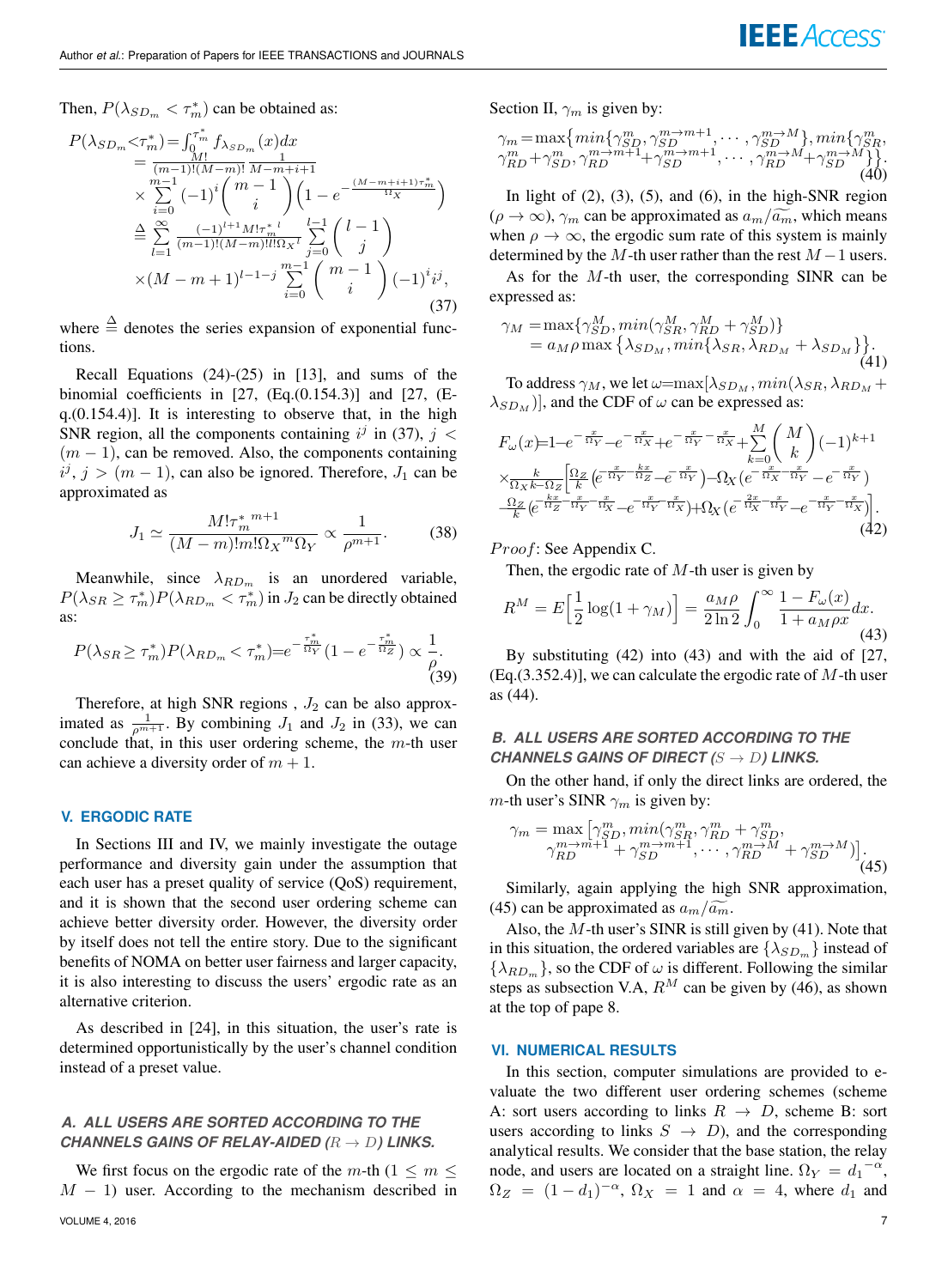Then,  $P(\lambda_{SD_m} < \tau_m^*)$  can be obtained as:

$$
P(\lambda_{SD_m} < \tau_m^*) = \int_{0}^{\tau_m^*} f_{\lambda_{SD_m}}(x) dx
$$
\n
$$
= \frac{(m-1)!(M-m)!}{(m-1)!(M-m)!} \frac{M-m+i+1}{M-m+i+1}
$$
\n
$$
\times \sum_{i=0}^{m-1} (-1)^i \binom{m-1}{i} \left(1 - e^{-\frac{(M-m+i+1)\tau_m^*}{\Omega_X}}\right)
$$
\n
$$
\stackrel{\Delta}{=} \sum_{l=1}^{\infty} \frac{(-1)^{l+1} M! \tau_m^{*l}}{(m-1)!(M-m)!!! \Omega_X^{-l}} \sum_{j=0}^{l-1} \binom{l-1}{j} (-1)^j i^j,
$$
\n
$$
\times (M-m+1)^{l-1-j} \sum_{i=0}^{m-1} \binom{m-1}{i} (-1)^i i^j,
$$
\n(37)

where  $\triangleq$  denotes the series expansion of exponential functions.

Recall Equations (24)-(25) in [13], and sums of the binomial coefficients in  $[27, (Eq. (0.154.3))]$  and  $[27, (E$ q.(0.154.4)]. It is interesting to observe that, in the high SNR region, all the components containing  $i^j$  in (37),  $j <$  $(m - 1)$ , can be removed. Also, the components containing  $i^j$ ,  $j > (m-1)$ , can also be ignored. Therefore,  $J_1$  can be approximated as

$$
J_1 \simeq \frac{M! \tau_m^{*m+1}}{(M-m)! m! \Omega_X^m \Omega_Y} \propto \frac{1}{\rho^{m+1}}.
$$
 (38)

Meanwhile, since  $\lambda_{RD_m}$  is an unordered variable,  $P(\lambda_{SR} \geq \tau_m^*) P(\lambda_{RD_m} < \tau_m^*)$  in  $J_2$  can be directly obtained as:

$$
P(\lambda_{SR} \ge \tau_m^*) P(\lambda_{RD_m} < \tau_m^*) = e^{-\frac{\tau_m^*}{\Omega_Y}} (1 - e^{-\frac{\tau_m^*}{\Omega_Z}}) \propto \frac{1}{\rho}.
$$
\n<sup>(39)</sup>

Therefore, at high SNR regions,  $J_2$  can be also approximated as  $\frac{1}{\rho^{m+1}}$ . By combining  $J_1$  and  $J_2$  in (33), we can conclude that, in this user ordering scheme, the  $m$ -th user can achieve a diversity order of  $m + 1$ .

#### **V. ERGODIC RATE**

In Sections III and IV, we mainly investigate the outage performance and diversity gain under the assumption that each user has a preset quality of service (QoS) requirement, and it is shown that the second user ordering scheme can achieve better diversity order. However, the diversity order by itself does not tell the entire story. Due to the significant benefits of NOMA on better user fairness and larger capacity, it is also interesting to discuss the users' ergodic rate as an alternative criterion.

As described in [24], in this situation, the user's rate is determined opportunistically by the user's channel condition instead of a preset value.

#### *A. ALL USERS ARE SORTED ACCORDING TO THE CHANNELS GAINS OF RELAY-AIDED (*R → D*) LINKS.*

We first focus on the ergodic rate of the m-th ( $1 \le m \le$  $M - 1$ ) user. According to the mechanism described in Section II,  $\gamma_m$  is given by:

$$
\gamma_m = \max\{ \min\{\gamma_{SD}^m, \gamma_{SD}^{m \to m+1}, \cdots, \gamma_{SD}^{m \to M}\}, \min\{\gamma_{SR}^m, \\ \gamma_{RD}^m + \gamma_{SD}^m, \gamma_{RD}^{m \to m+1} + \gamma_{SD}^{m \to m+1}, \cdots, \gamma_{RD}^{m \to M} + \gamma_{SD}^{m \to M}\}\}.
$$
\n(40)

In light of  $(2)$ ,  $(3)$ ,  $(5)$ , and  $(6)$ , in the high-SNR region  $(\rho \to \infty)$ ,  $\gamma_m$  can be approximated as  $a_m/\widetilde{a_m}$ , which means when  $\rho \to \infty$ , the ergodic sum rate of this system is mainly determined by the  $M$ -th user rather than the rest  $M-1$  users.

As for the M-th user, the corresponding SINR can be expressed as:

$$
\gamma_M = \max \{ \gamma_{SD}^M, \min(\gamma_{SR}^M, \gamma_{RD}^M + \gamma_{SD}^M) \}
$$
  
=  $a_M \rho \max \{ \lambda_{SD_M}, \min \{ \lambda_{SR}, \lambda_{RD_M} + \lambda_{SD_M} \} \}.$  (41)

To address  $\gamma_M$ , we let  $\omega = \max[\lambda_{SD_M}, min(\lambda_{SR}, \lambda_{RD_M} +$  $(\lambda_{SD_M})$ , and the CDF of  $\omega$  can be expressed as:

$$
F_{\omega}(x)=1-e^{-\frac{x}{\Omega_Y}}-e^{-\frac{x}{\Omega_X}}+e^{-\frac{x}{\Omega_Y}-\frac{x}{\Omega_X}}+\sum_{k=0}^{M} {M \choose k}(-1)^{k+1}
$$

$$
\times \frac{k}{\Omega_X k-\Omega_Z} \left[ \frac{\Omega_Z}{k} \left( e^{-\frac{x}{\Omega_Y}-\frac{kx}{\Omega_Z}} - e^{-\frac{x}{\Omega_Y}} \right) - \Omega_X \left( e^{-\frac{x}{\Omega_X}-\frac{x}{\Omega_Y}} - e^{-\frac{x}{\Omega_Y}} \right) \right]
$$

$$
\frac{\Omega_Z}{k} \left( e^{-\frac{kx}{\Omega_Z}-\frac{x}{\Omega_Y}-\frac{x}{\Omega_X}} - e^{-\frac{x}{\Omega_Y}-\frac{x}{\Omega_X}} \right) + \Omega_X \left( e^{-\frac{2x}{\Omega_X}-\frac{x}{\Omega_Y}} - e^{-\frac{x}{\Omega_Y}-\frac{x}{\Omega_X}} \right).
$$
(42)

Proof: See Appendix C.

Then, the ergodic rate of  $M$ -th user is given by

$$
R^{M} = E\left[\frac{1}{2}\log(1+\gamma_{M})\right] = \frac{a_{M}\rho}{2\ln 2} \int_{0}^{\infty} \frac{1 - F_{\omega}(x)}{1 + a_{M}\rho x} dx.
$$
\n(43)

By substituting (42) into (43) and with the aid of [27,  $(Eq.(3.352.4))$ , we can calculate the ergodic rate of M-th user as (44).

#### *B. ALL USERS ARE SORTED ACCORDING TO THE CHANNELS GAINS OF DIRECT (*S → D*) LINKS.*

On the other hand, if only the direct links are ordered, the m-th user's SINR  $\gamma_m$  is given by:

$$
\gamma_m = \max_{\gamma_{RD}^m, m = 1} \left[ \gamma_{SD}^m, \min(\gamma_{SR}^m, \gamma_{RD}^m + \gamma_{SD}^m, \\ \gamma_{RD}^{m \to m+1} + \gamma_{SD}^{m \to m+1}, \cdots, \gamma_{RD}^{m \to M} + \gamma_{SD}^{m \to M} \right].
$$
\n(45)

Similarly, again applying the high SNR approximation, (45) can be approximated as  $a_m/\widetilde{a_m}$ .

Also, the  $M$ -th user's SINR is still given by (41). Note that in this situation, the ordered variables are  $\{\lambda_{SD_m}\}\$ instead of  $\{\lambda_{RD_m}\}\$ , so the CDF of  $\omega$  is different. Following the similar steps as subsection V.A,  $R^{M}$  can be given by (46), as shown at the top of pape 8.

#### **VI. NUMERICAL RESULTS**

In this section, computer simulations are provided to evaluate the two different user ordering schemes (scheme A: sort users according to links  $R \to D$ , scheme B: sort users according to links  $S \rightarrow D$ , and the corresponding analytical results. We consider that the base station, the relay node, and users are located on a straight line.  $\Omega_Y = d_1^{-\alpha}$ ,  $\Omega_Z = (1 - d_1)^{-\alpha}, \, \Omega_X = 1$  and  $\alpha = 4$ , where  $d_1$  and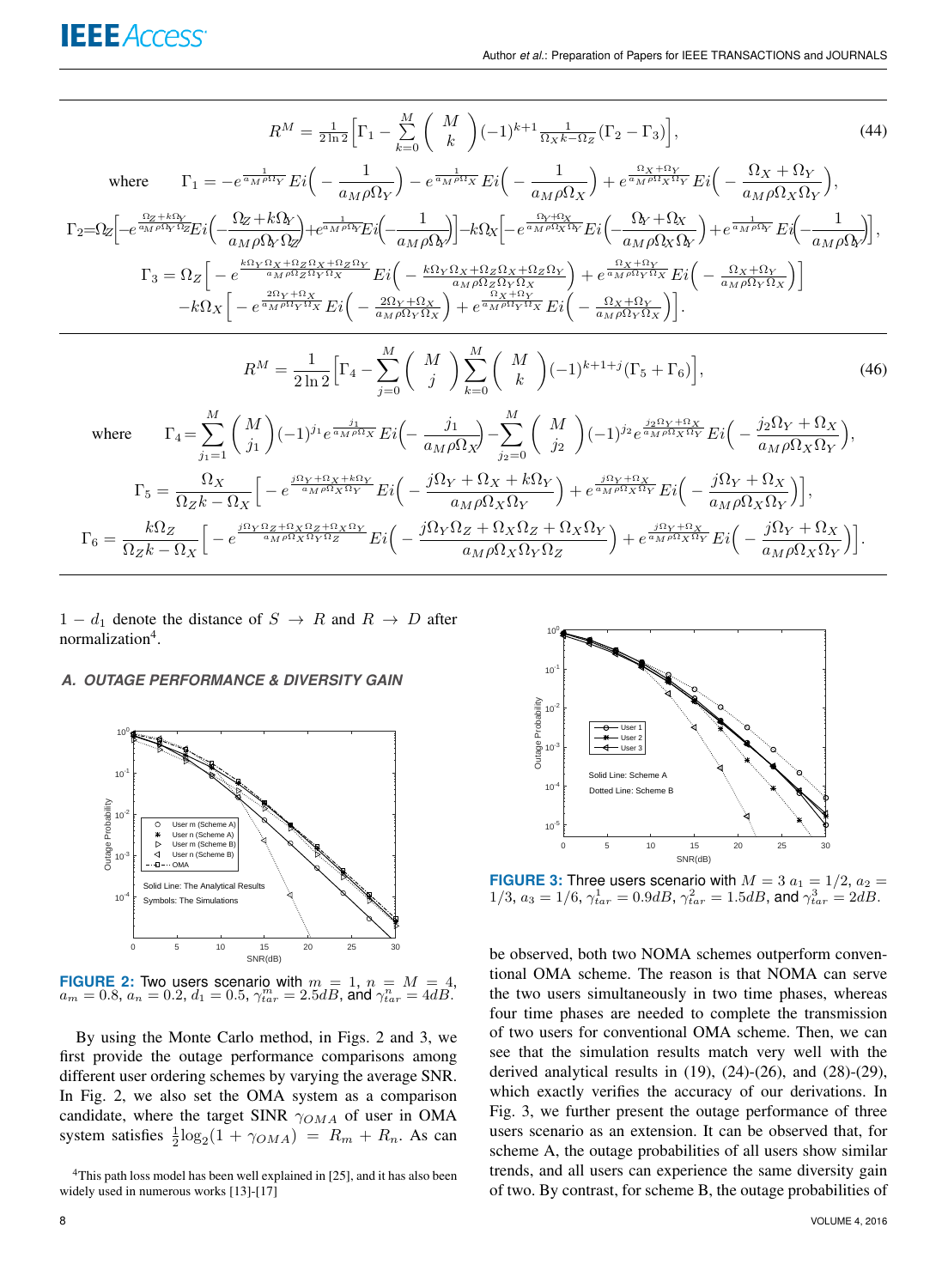$$
R^{M} = \frac{1}{2\ln 2} \Big[ \Gamma_1 - \sum_{k=0}^{M} \binom{M}{k} (-1)^{k+1} \frac{1}{\Omega_X k - \Omega_Z} (\Gamma_2 - \Gamma_3) \Big], \tag{44}
$$

where 
$$
\Gamma_1 = -e^{\frac{1}{a_M \rho \Omega_Y}} E_i \Big( - \frac{1}{a_M \rho \Omega_Y} \Big) - e^{\frac{1}{a_M \rho \Omega_X}} E_i \Big( - \frac{1}{a_M \rho \Omega_X} \Big) + e^{\frac{\Omega_X + \Omega_Y}{a_M \rho \Omega_X \Omega_Y}} E_i \Big( - \frac{\Omega_X + \Omega_Y}{a_M \rho \Omega_X \Omega_Y} \Big),
$$
  
\n
$$
\Gamma_2 = \Omega_Z \Big[ -e^{\frac{\Omega_Z + k\Omega_Y}{a_M \rho \Omega_Y \Omega_Z}} E_i \Big( -\frac{\Omega_Z + k\Omega_Y}{a_M \rho \Omega_Y \Omega_Z} \Big) + e^{\frac{1}{a_M \rho \Omega_X}} E_i \Big( -\frac{1}{a_M \rho \Omega_Y} \Big) - k\Omega_X \Big[ -e^{\frac{\Omega_Y + \Omega_X}{a_M \rho \Omega_X \Omega_Y}} E_i \Big( -\frac{\Omega_Y + \Omega_X}{a_M \rho \Omega_X \Omega_Y} \Big) + e^{\frac{1}{a_M \rho \Omega_X}} E_i \Big( -\frac{1}{a_M \rho \Omega_X} \Big) \Big],
$$
  
\n
$$
\Gamma_3 = \Omega_Z \Big[ -e^{\frac{k\Omega_Y \Omega_X + \Omega_Z \Omega_X + \Omega_Z \Omega_Y}{a_M \rho \Omega_Z \Omega_Y \Omega_X}} E_i \Big( -\frac{k\Omega_Y \Omega_X + \Omega_Z \Omega_X + \Omega_Z \Omega_Y}{a_M \rho \Omega_Z \Omega_Y \Omega_X} \Big) + e^{\frac{\Omega_X + \Omega_Y}{a_M \rho \Omega_Y \Omega_X}} E_i \Big( -\frac{\Omega_X + \Omega_Y}{a_M \rho \Omega_Y \Omega_X} \Big) \Big] - k\Omega_X \Big[ -e^{\frac{2\Omega_Y + \Omega_X}{a_M \rho \Omega_Y \Omega_X}} E_i \Big( -\frac{2\Omega_Y + \Omega_X}{a_M \rho \Omega_Y \Omega_X} + e^{\frac{\Omega_X + \Omega_Y}{a_M \rho \Omega_Y \Omega_X}} E_i \Big( -\frac{\Omega_X + \Omega_Y}{a_M \rho \Omega_Y \Omega_X} \Big) \Big].
$$

$$
R^{M} = \frac{1}{2\ln 2} \Big[ \Gamma_4 - \sum_{j=0}^{M} \binom{M}{j} \sum_{k=0}^{M} \binom{M}{k} (-1)^{k+1+j} (\Gamma_5 + \Gamma_6) \Big], \tag{46}
$$

where 
$$
\Gamma_4 = \sum_{j_1=1}^{M} {M \choose j_1} (-1)^{j_1} e^{\frac{j_1}{a_M \rho \Omega_X}} E_i \left(-\frac{j_1}{a_M \rho \Omega_X}\right) - \sum_{j_2=0}^{M} {M \choose j_2} (-1)^{j_2} e^{\frac{j_2 \Omega_Y + \Omega_X}{a_M \rho \Omega_X \Omega_Y}} E_i \left(-\frac{j_2 \Omega_Y + \Omega_X}{a_M \rho \Omega_X \Omega_Y}\right),
$$

$$
\Gamma_5 = \frac{\Omega_X}{\Omega_Z k - \Omega_X} \left[ -e^{\frac{j \Omega_Y + \Omega_X + k \Omega_Y}{a_M \rho \Omega_X \Omega_Y}} E_i \left(-\frac{j \Omega_Y + \Omega_X + k \Omega_Y}{a_M \rho \Omega_X \Omega_Y}\right) + e^{\frac{j \Omega_Y + \Omega_X}{a_M \rho \Omega_X \Omega_Y}} E_i \left(-\frac{j \Omega_Y + \Omega_X}{a_M \rho \Omega_X \Omega_Y}\right) \right],
$$

$$
\Gamma_6 = \frac{k \Omega_Z}{\Omega_Z k - \Omega_X} \left[ -e^{\frac{j \Omega_Y \Omega_Z + \Omega_X \Omega_Z}{a_M \rho \Omega_X \Omega_Y \Omega_Z}} E_i \left(-\frac{j \Omega_Y \Omega_Z + \Omega_X \Omega_Y}{a_M \rho \Omega_X \Omega_Y \Omega_Z}\right) + e^{\frac{j \Omega_Y + \Omega_X}{a_M \rho \Omega_X \Omega_Y}} E_i \left(-\frac{j \Omega_Y + \Omega_X}{a_M \rho \Omega_X \Omega_Y}\right) \right].
$$

 $1 - d_1$  denote the distance of  $S \rightarrow R$  and  $R \rightarrow D$  after normalization<sup>4</sup>.

#### *A. OUTAGE PERFORMANCE & DIVERSITY GAIN*

 $\overline{M}$ 



**FIGURE 2:** Two users scenario with  $m = 1$ ,  $n = M = 4$ ,  $a_m = 0.8$ ,  $a_n = 0.2$ ,  $d_1 = 0.5$ ,  $\gamma_{tar}^{m} = 2.5dB$ , and  $\gamma_{tar}^{n} = 4dB$ .

By using the Monte Carlo method, in Figs. 2 and 3, we first provide the outage performance comparisons among different user ordering schemes by varying the average SNR. In Fig. 2, we also set the OMA system as a comparison candidate, where the target SINR  $\gamma_{OMA}$  of user in OMA system satisfies  $\frac{1}{2}$ log<sub>2</sub>(1 +  $\gamma$ <sub>OMA</sub>) =  $R_m + R_n$ . As can



**FIGURE 3:** Three users scenario with  $M = 3$   $a_1 = 1/2$ ,  $a_2 =$  $1/3$ ,  $a_3 = 1/6$ ,  $\gamma_{tar}^1 = 0.9$ dB,  $\gamma_{tar}^2 = 1.5$ dB, and  $\gamma_{tar}^3 = 2$ dB.

be observed, both two NOMA schemes outperform conventional OMA scheme. The reason is that NOMA can serve the two users simultaneously in two time phases, whereas four time phases are needed to complete the transmission of two users for conventional OMA scheme. Then, we can see that the simulation results match very well with the derived analytical results in  $(19)$ ,  $(24)-(26)$ , and  $(28)-(29)$ , which exactly verifies the accuracy of our derivations. In Fig. 3, we further present the outage performance of three users scenario as an extension. It can be observed that, for scheme A, the outage probabilities of all users show similar trends, and all users can experience the same diversity gain of two. By contrast, for scheme B, the outage probabilities of

<sup>&</sup>lt;sup>4</sup>This path loss model has been well explained in [25], and it has also been widely used in numerous works [13]-[17]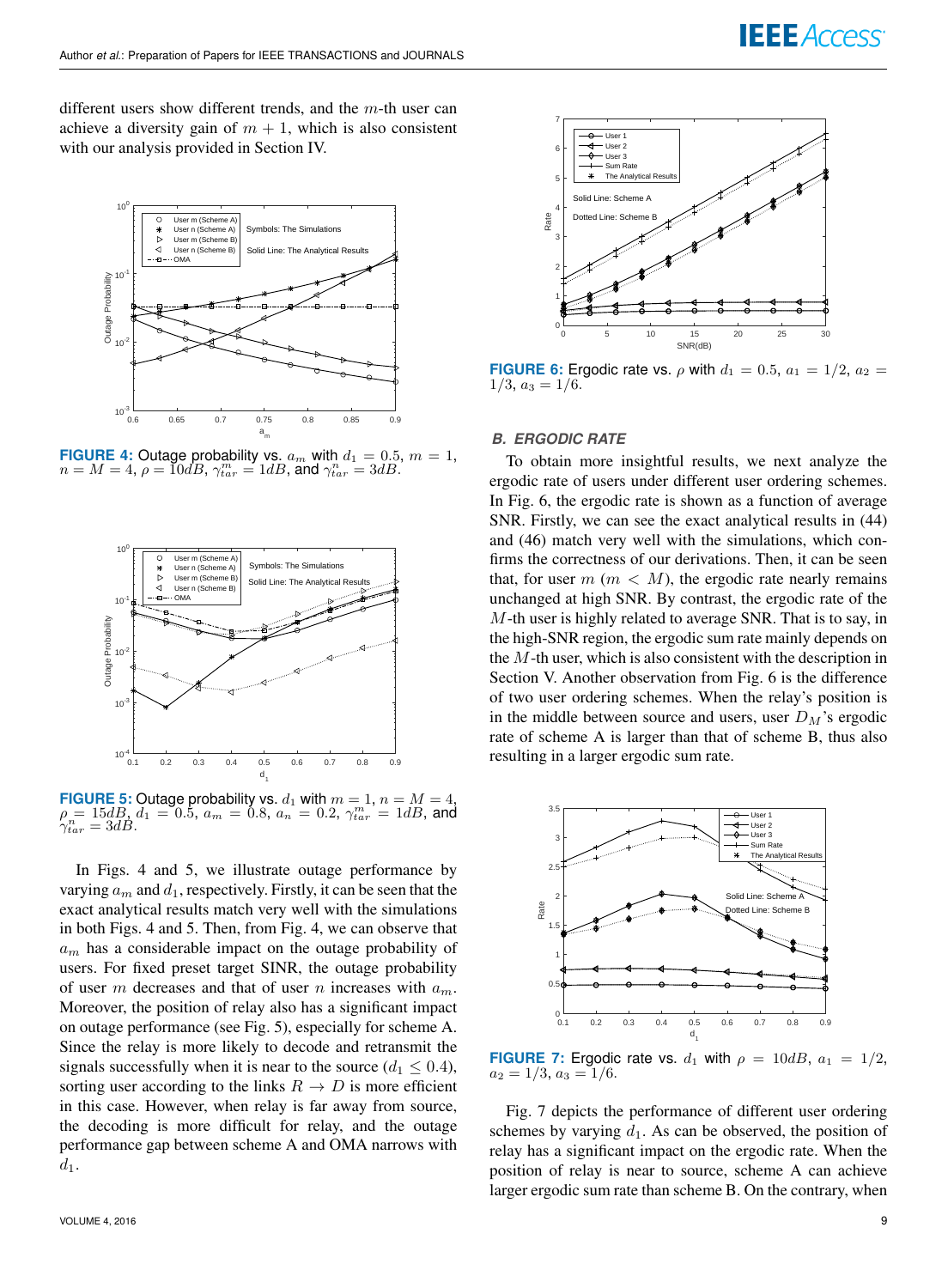different users show different trends, and the m-th user can achieve a diversity gain of  $m + 1$ , which is also consistent with our analysis provided in Section IV.



**FIGURE 4:** Outage probability vs.  $a_m$  with  $d_1 = 0.5$ ,  $m = 1$ ,  $n = M = 4$ ,  $\rho = 10dB$ ,  $\gamma_{tar}^m = 1dB$ , and  $\gamma_{tar}^n = 3dB$ .



**FIGURE 5:** Outage probability vs.  $d_1$  with  $m = 1$ ,  $n = M = 4$ ,  $\rho = 15dB$ ,  $d_1 = 0.5$ ,  $a_m = 0.8$ ,  $a_n = 0.2$ ,  $\gamma_{tar}^m = 1dB$ , and  $\gamma_{tar}^n = 3dB$ .

In Figs. 4 and 5, we illustrate outage performance by varying  $a_m$  and  $d_1$ , respectively. Firstly, it can be seen that the exact analytical results match very well with the simulations in both Figs. 4 and 5. Then, from Fig. 4, we can observe that  $a_m$  has a considerable impact on the outage probability of users. For fixed preset target SINR, the outage probability of user m decreases and that of user n increases with  $a_m$ . Moreover, the position of relay also has a significant impact on outage performance (see Fig. 5), especially for scheme A. Since the relay is more likely to decode and retransmit the signals successfully when it is near to the source ( $d_1 \leq 0.4$ ), sorting user according to the links  $R \to D$  is more efficient in this case. However, when relay is far away from source, the decoding is more difficult for relay, and the outage performance gap between scheme A and OMA narrows with  $d_1$ .



**FIGURE 6:** Ergodic rate vs.  $\rho$  with  $d_1 = 0.5$ ,  $a_1 = 1/2$ ,  $a_2 =$  $1/3, a_3 = 1/6.$ 

#### *B. ERGODIC RATE*

To obtain more insightful results, we next analyze the ergodic rate of users under different user ordering schemes. In Fig. 6, the ergodic rate is shown as a function of average SNR. Firstly, we can see the exact analytical results in (44) and (46) match very well with the simulations, which confirms the correctness of our derivations. Then, it can be seen that, for user  $m \ (m \ < M)$ , the ergodic rate nearly remains unchanged at high SNR. By contrast, the ergodic rate of the  $M$ -th user is highly related to average SNR. That is to say, in the high-SNR region, the ergodic sum rate mainly depends on the  $M$ -th user, which is also consistent with the description in Section V. Another observation from Fig. 6 is the difference of two user ordering schemes. When the relay's position is in the middle between source and users, user  $D_M$ 's ergodic rate of scheme A is larger than that of scheme B, thus also resulting in a larger ergodic sum rate.



**FIGURE 7:** Ergodic rate vs.  $d_1$  with  $\rho = 10dB$ ,  $a_1 = 1/2$ ,  $a_2 = 1/3, a_3 = 1/6.$ 

Fig. 7 depicts the performance of different user ordering schemes by varying  $d_1$ . As can be observed, the position of relay has a significant impact on the ergodic rate. When the position of relay is near to source, scheme A can achieve larger ergodic sum rate than scheme B. On the contrary, when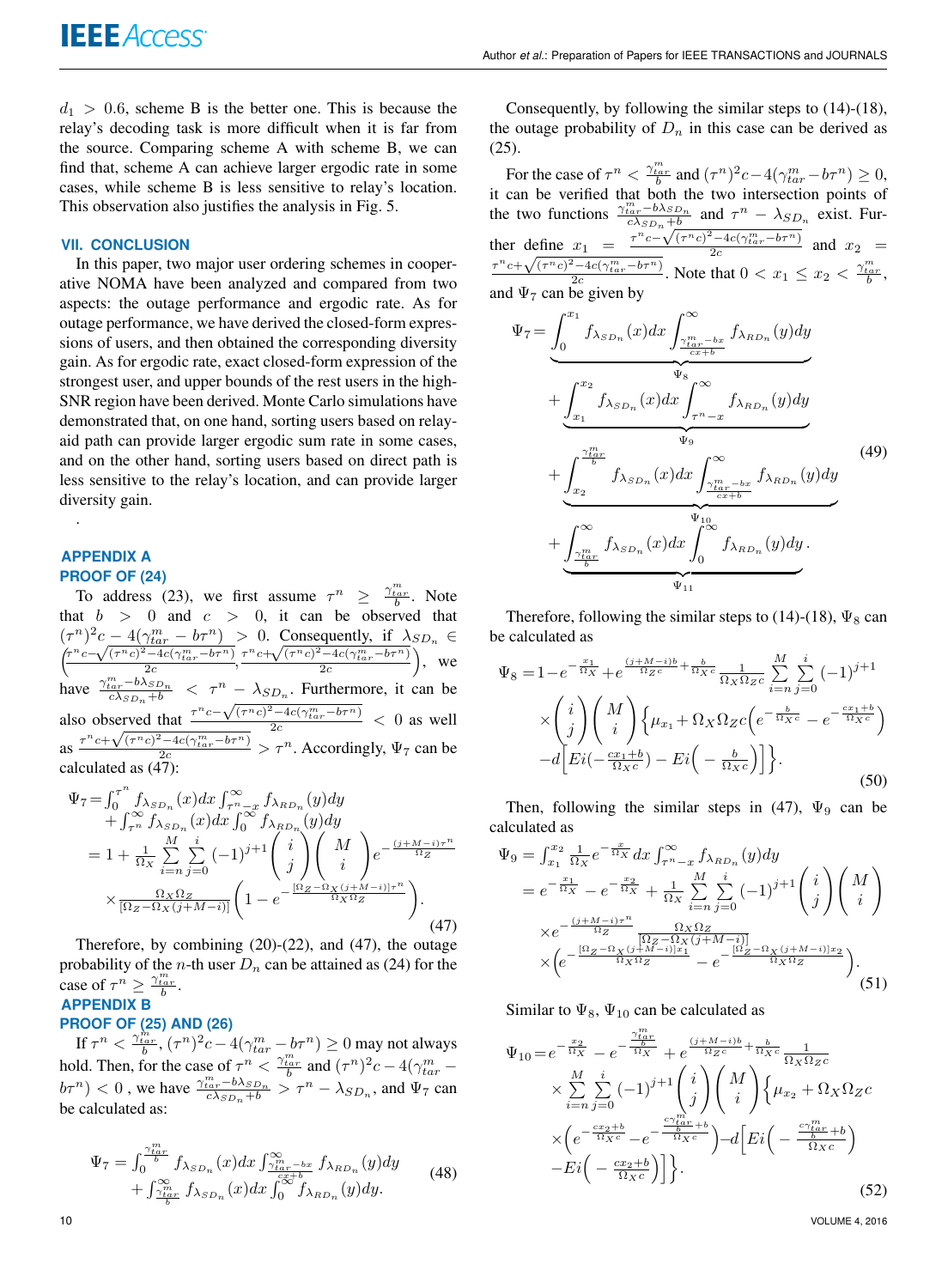$d_1 > 0.6$ , scheme B is the better one. This is because the relay's decoding task is more difficult when it is far from the source. Comparing scheme A with scheme B, we can find that, scheme A can achieve larger ergodic rate in some cases, while scheme B is less sensitive to relay's location. This observation also justifies the analysis in Fig. 5.

#### **VII. CONCLUSION**

In this paper, two major user ordering schemes in cooperative NOMA have been analyzed and compared from two aspects: the outage performance and ergodic rate. As for outage performance, we have derived the closed-form expressions of users, and then obtained the corresponding diversity gain. As for ergodic rate, exact closed-form expression of the strongest user, and upper bounds of the rest users in the high-SNR region have been derived. Monte Carlo simulations have demonstrated that, on one hand, sorting users based on relayaid path can provide larger ergodic sum rate in some cases, and on the other hand, sorting users based on direct path is less sensitive to the relay's location, and can provide larger diversity gain.

#### **APPENDIX A PROOF OF (24)**

.

To address (23), we first assume  $\tau^n \geq \frac{\gamma_{tar}^m}{b}$ . Note that  $b > 0$  and  $c > 0$ , it can be observed that  $(\tau^n)^2 c - 4(\gamma^n_{tar} - b\tau^n) > 0$ . Consequently, if  $\lambda_{SD_n} \in$  $\left(\tau^{n}C^{-2} - 4(\gamma_{tar}^{n} - b\tau^{n})\right) > 0.$  Consequently, if  $\lambda_{SD_n} \in \left(\tau^{n}C^{-2} - 4C(\gamma_{tar}^{n} - b\tau^{n})\right)$ ,  $\tau^{n}C^{-2} + 4C(\gamma_{tar}^{n} - b\tau^{n})$ , we have  $\frac{\gamma_{tar}^{m} - b\lambda_{SD_n}}{c\lambda_{SD_n} + b}$  <  $\tau^n$  –  $\lambda_{SD_n}$ . Furthermore, it can be also observed that  $\frac{\tau^n c - \sqrt{(\tau^n c)^2 - 4c(\gamma^n a - b\tau^n)}}{2c} < 0$  as well also observed that  $\frac{2c}{2c}$   $\leq 0$  as well<br>as  $\frac{\tau^n c + \sqrt{(\tau^n c)^2 - 4c(\gamma^n_{tar} - b\tau^n)}}{2c} > \tau^n$ . Accordingly,  $\Psi_7$  can be calculated as (47):

$$
\Psi_{7} = \int_{0}^{\tau^{n}} \int_{\lambda_{SD_n}} (x) dx \int_{\tau^{n}}^{\infty} f_{\lambda_{RD_n}}(y) dy \n+ \int_{\tau^{n}}^{\infty} \int_{\lambda_{SD_n}} (x) dx \int_{0}^{\infty} f_{\lambda_{RD_n}}(y) dy \n= 1 + \frac{1}{\Omega_X} \sum_{i=n}^{M} \sum_{j=0}^{i} (-1)^{j+1} \begin{pmatrix} i \\ j \end{pmatrix} \begin{pmatrix} M \\ i \end{pmatrix} e^{-\frac{(j+M-i)\tau^{n}}{\Omega_Z}} \n\times \frac{\Omega_X \Omega_Z}{[\Omega_Z - \Omega_X(j+M-i)]} \begin{pmatrix} 1 - e^{-\frac{[\Omega_Z - \Omega_X(j+M-i)]\tau^{n}}{\Omega_X \Omega_Z}} \end{pmatrix}.
$$
\n(47)

Therefore, by combining (20)-(22), and (47), the outage probability of the *n*-th user  $D_n$  can be attained as (24) for the case of  $\tau^n \geq \frac{\gamma_{tar}^m}{b}$ . **APPENDIX B**

# **PROOF OF (25) AND (26)**

If  $\tau^n < \frac{\gamma_{tar}^m}{b}$ ,  $(\tau^n)^2c - 4(\gamma_{tar}^m - b\tau^n) \ge 0$  may not always hold. Then, for the case of  $\tau^n < \frac{\gamma_{tar}^m}{b}$  and  $(\tau^n)^2 c - 4(\gamma_{tar}^m (b\tau^n) < 0$ , we have  $\frac{\gamma_{tar}^n - b\lambda_{SD_n}}{c\lambda_{SD_n} + b} > \tau^n - \lambda_{SD_n}$ , and  $\Psi_7$  can be calculated as:

$$
\Psi_7 = \int_0^{\frac{\gamma_{tar}^{m}}{b}} f_{\lambda_{SD_n}}(x) dx \int_{\frac{c_{tar}^{m}}{b}}^{\infty} f_{\lambda_{RD_n}}(y) dy \n+ \int_{\frac{\gamma_{tar}^{m}}{b}}^{\infty} f_{\lambda_{SD_n}}(x) dx \int_0^{\frac{c_{str}}{b}} f_{\lambda_{RD_n}}(y) dy.
$$
\n(48)

Consequently, by following the similar steps to (14)-(18), the outage probability of  $D_n$  in this case can be derived as (25).

For the case of  $\tau^n < \frac{\gamma_{tar}^m}{b}$  and  $(\tau^n)^2 c - 4(\gamma_{tar}^m - b\tau^n) \ge 0$ , it can be verified that both the two intersection points of the two functions  $\frac{\gamma_{tar}^{m} - b\lambda_{SDn}}{c\lambda_{SD} + b}$  $\frac{c_{\alpha}^{n} - b\lambda_{SD_n}}{c\lambda_{SD_n} + b}$  and  $\tau^{n} - \lambda_{SD_n}$  exist. Further define  $x_1 = \frac{\tau^n c - \sqrt{(\tau^n c)^2 - 4c(\gamma^n a_n - b\tau^n)}}{2c}$  and  $x_2 =$ ther define  $x_1 = \frac{2c}{x}$  and  $x_2 = \frac{\tau^n c + \sqrt{(\tau^n c)^2 - 4c(\gamma^n_{tar} - b\tau^n)}}{2c}$ . Note that  $0 < x_1 \le x_2 < \frac{\gamma^n_{tar}}{b}$ , and  $\Psi_7$  can be given by

$$
\Psi_{7} = \underbrace{\int_{0}^{x_{1}} f_{\lambda_{SD_{n}}}(x) dx \int_{\frac{\gamma_{tar}^{m} - b_{x}}{ex+b}}^{\infty} f_{\lambda_{RD_{n}}}(y) dy}_{\Psi} + \underbrace{\int_{x_{1}}^{x_{2}} f_{\lambda_{SD_{n}}}(x) dx \int_{\tau^{n} - x}^{\infty} f_{\lambda_{RD_{n}}}(y) dy}_{\Psi_{9}} + \underbrace{\int_{x_{2}}^{\frac{\gamma_{tar}^{m}}{b}} f_{\lambda_{SD_{n}}}(x) dx \int_{\frac{\gamma_{tar}^{m} - b_{x}}{ex+b}}^{\infty} f_{\lambda_{RD_{n}}}(y) dy}_{\Psi_{\frac{\gamma_{tar}^{m}}{ex}} + b} + \underbrace{\int_{\frac{\gamma_{tar}^{m}}{b}}^{\infty} f_{\lambda_{SD_{n}}}(x) dx \int_{0}^{\Psi_{10}} f_{\lambda_{RD_{n}}}(y) dy}_{\Psi_{11}}.
$$
\n
$$
(49)
$$

Therefore, following the similar steps to (14)-(18),  $\Psi_8$  can be calculated as

$$
\Psi_8 = 1 - e^{-\frac{x_1}{\Omega_X}} + e^{\frac{(j+M-i)b}{\Omega_Z c} + \frac{b}{\Omega_X c}} \frac{1}{\Omega_X \Omega_Z c} \sum_{i=n}^M \sum_{j=0}^i (-1)^{j+1}
$$
\n
$$
\times \begin{pmatrix} i \\ j \end{pmatrix} \begin{pmatrix} M \\ i \end{pmatrix} \begin{cases} \mu_{x_1} + \Omega_X \Omega_Z c \Big( e^{-\frac{b}{\Omega_X c}} - e^{-\frac{c x_1 + b}{\Omega_X c}} \Big) \\ - d \Big[ Ei \Big( -\frac{c x_1 + b}{\Omega_X c} \Big) - Ei \Big( -\frac{b}{\Omega_X c} \Big) \Big] \end{cases}.
$$
\n
$$
(50)
$$

Then, following the similar steps in (47),  $\Psi_9$  can be calculated as

$$
\Psi_{9} = \int_{x_{1}}^{x_{2}} \frac{1}{\Omega_{X}} e^{-\frac{x}{\Omega_{X}}} dx \int_{\tau^{n} - x}^{\infty} f_{\lambda_{RD_{n}}}(y) dy
$$
\n
$$
= e^{-\frac{x_{1}}{\Omega_{X}}} - e^{-\frac{x_{2}}{\Omega_{X}}} + \frac{1}{\Omega_{X}} \sum_{i=n}^{M} \sum_{j=0}^{i} (-1)^{j+1} {i \choose j} {M \choose i}
$$
\n
$$
\times e^{-\frac{(j+M-i)\tau^{n}}{\Omega_{Z}} \frac{\Omega_{X}\Omega_{Z}}{[\Omega_{Z}-\Omega_{X}(j+M-i)]}} \times (e^{-\frac{[\Omega_{Z}-\Omega_{X}(j+M-i)]x_{2}}{\Omega_{X}\Omega_{Z}}}) - e^{-\frac{[\Omega_{Z}-\Omega_{X}(j+M-i)]x_{2}}{\Omega_{X}\Omega_{Z}}}).
$$
\n(51)

Similar to  $\Psi_8$ ,  $\Psi_{10}$  can be calculated as

$$
\Psi_{10} = e^{-\frac{x_2}{\Omega_X}} - e^{-\frac{\gamma_{tar}^{m}}{\Omega_X}} + e^{\frac{(j+M-i)b}{\Omega_Z c} + \frac{b}{\Omega_X \Omega_Z c}} \times \sum_{i=n}^{M} \sum_{j=0}^{i} (-1)^{j+1} {i \choose j} {M \choose i} {\mu_{x_2} + \Omega_X \Omega_Z c} \times \left( e^{-\frac{cx_2+b}{\Omega_X c}} - e^{-\frac{c\gamma_{tar}^{m}}{\Omega_X c}} \right) - d \left[ Ei \left( -\frac{\frac{c\gamma_{tar}^{m}}{\Omega_X c}}{\Omega_X c} \right) - Ei \left( -\frac{cx_2+b}{\Omega_X c} \right) \right].
$$
\n(52)

10 VOLUME 4, 2016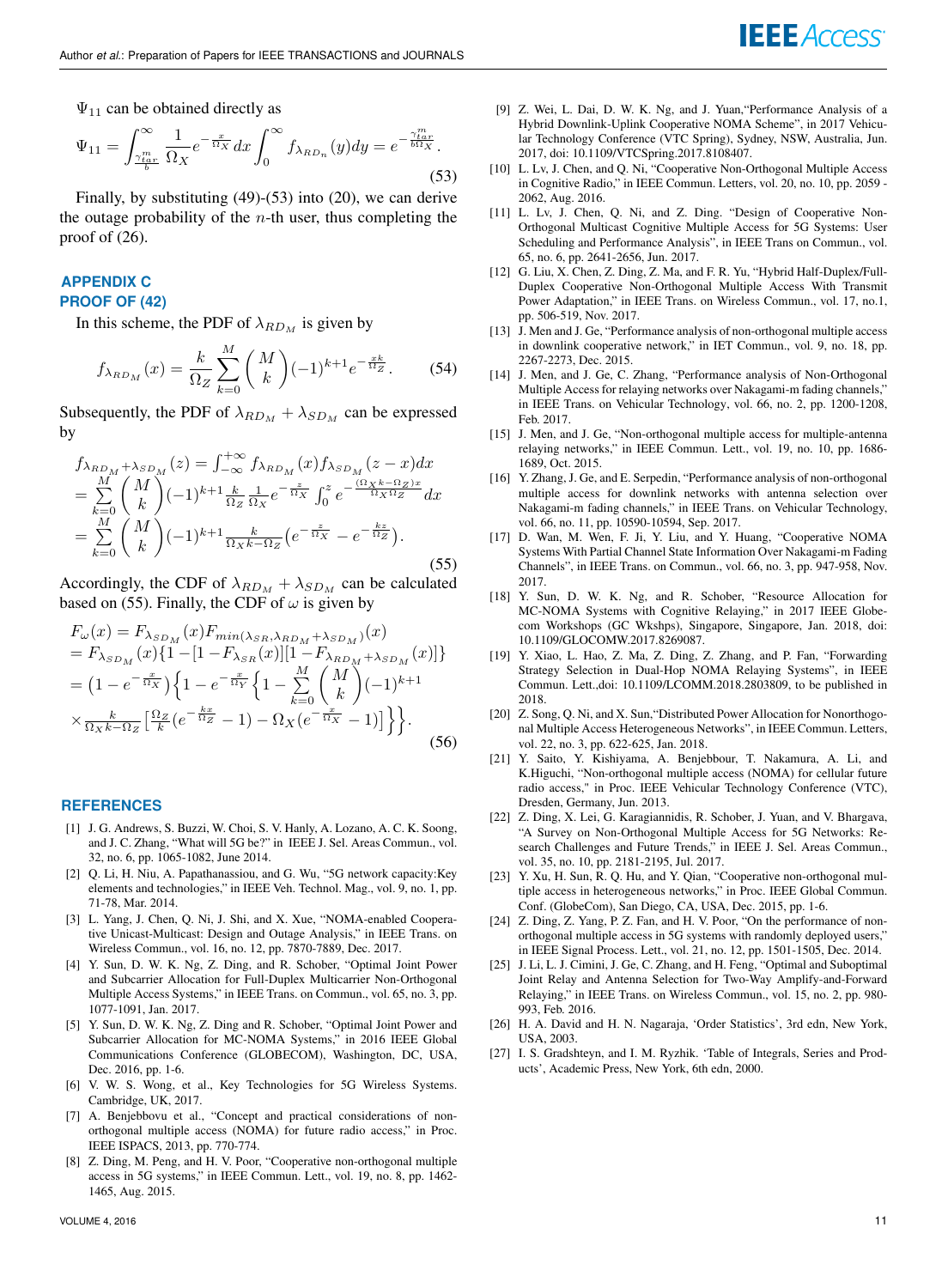$\Psi_{11}$  can be obtained directly as

$$
\Psi_{11} = \int_{\frac{\gamma_{tar}^m}{b}}^{\infty} \frac{1}{\Omega_X} e^{-\frac{x}{\Omega_X}} dx \int_0^{\infty} f_{\lambda_{RD_n}}(y) dy = e^{-\frac{\gamma_{tar}^m}{b\Omega_X}}.
$$
\n(53)

Finally, by substituting (49)-(53) into (20), we can derive the outage probability of the *n*-th user, thus completing the proof of (26).

#### **APPENDIX C PROOF OF (42)**

In this scheme, the PDF of  $\lambda_{RD_M}$  is given by

$$
f_{\lambda_{RD_M}}(x) = \frac{k}{\Omega_Z} \sum_{k=0}^{M} \binom{M}{k} (-1)^{k+1} e^{-\frac{x k}{\Omega_Z}}.
$$
 (54)

Subsequently, the PDF of  $\lambda_{RD_M} + \lambda_{SD_M}$  can be expressed by

$$
f_{\lambda_{RD_M} + \lambda_{SD_M}}(z) = \int_{-\infty}^{+\infty} f_{\lambda_{RD_M}}(x) f_{\lambda_{SD_M}}(z - x) dx
$$
  
= 
$$
\sum_{k=0}^{M} {M \choose k} (-1)^{k+1} \frac{k}{\Omega_Z} \frac{1}{\Omega_X} e^{-\frac{z}{\Omega_X}} \int_0^z e^{-\frac{(\Omega_X k - \Omega_Z)x}{\Omega_X \Omega_Z}} dx
$$
  
= 
$$
\sum_{k=0}^{M} {M \choose k} (-1)^{k+1} \frac{k}{\Omega_X k - \Omega_Z} (e^{-\frac{z}{\Omega_X}} - e^{-\frac{kz}{\Omega_Z}}).
$$
 (55)

Accordingly, the CDF of  $\lambda_{RD_M} + \lambda_{SD_M}$  can be calculated based on (55). Finally, the CDF of  $\omega$  is given by

$$
F_{\omega}(x) = F_{\lambda_{SD_M}}(x) F_{min(\lambda_{SR}, \lambda_{RD_M} + \lambda_{SD_M})}(x)
$$
  
=  $F_{\lambda_{SD_M}}(x) \{1 - [1 - F_{\lambda_{SR}}(x)][1 - F_{\lambda_{RD_M} + \lambda_{SD_M}}(x)]\}$   
=  $(1 - e^{-\frac{x}{\Omega_X}}) \{1 - e^{-\frac{x}{\Omega_Y}} \{1 - \sum_{k=0}^{M} {M \choose k} (-1)^{k+1} \times \frac{k}{\Omega_X k - \Omega_Z} \left[\frac{\Omega_Z}{k} (e^{-\frac{kx}{\Omega_Z}} - 1) - \Omega_X (e^{-\frac{x}{\Omega_X}} - 1)\right]\}.$  (56)

#### **REFERENCES**

- [1] J. G. Andrews, S. Buzzi, W. Choi, S. V. Hanly, A. Lozano, A. C. K. Soong, and J. C. Zhang, "What will 5G be?" in IEEE J. Sel. Areas Commun., vol. 32, no. 6, pp. 1065-1082, June 2014.
- [2] Q. Li, H. Niu, A. Papathanassiou, and G. Wu, "5G network capacity:Key elements and technologies," in IEEE Veh. Technol. Mag., vol. 9, no. 1, pp. 71-78, Mar. 2014.
- [3] L. Yang, J. Chen, Q. Ni, J. Shi, and X. Xue, "NOMA-enabled Cooperative Unicast-Multicast: Design and Outage Analysis," in IEEE Trans. on Wireless Commun., vol. 16, no. 12, pp. 7870-7889, Dec. 2017.
- [4] Y. Sun, D. W. K. Ng, Z. Ding, and R. Schober, "Optimal Joint Power and Subcarrier Allocation for Full-Duplex Multicarrier Non-Orthogonal Multiple Access Systems," in IEEE Trans. on Commun., vol. 65, no. 3, pp. 1077-1091, Jan. 2017.
- [5] Y. Sun, D. W. K. Ng, Z. Ding and R. Schober, "Optimal Joint Power and Subcarrier Allocation for MC-NOMA Systems," in 2016 IEEE Global Communications Conference (GLOBECOM), Washington, DC, USA, Dec. 2016, pp. 1-6.
- [6] V. W. S. Wong, et al., Key Technologies for 5G Wireless Systems. Cambridge, UK, 2017.
- [7] A. Benjebbovu et al., "Concept and practical considerations of nonorthogonal multiple access (NOMA) for future radio access," in Proc. IEEE ISPACS, 2013, pp. 770-774.
- [8] Z. Ding, M. Peng, and H. V. Poor, "Cooperative non-orthogonal multiple access in 5G systems," in IEEE Commun. Lett., vol. 19, no. 8, pp. 1462- 1465, Aug. 2015.
- [9] Z. Wei, L. Dai, D. W. K. Ng, and J. Yuan,"Performance Analysis of a Hybrid Downlink-Uplink Cooperative NOMA Scheme", in 2017 Vehicular Technology Conference (VTC Spring), Sydney, NSW, Australia, Jun. 2017, doi: 10.1109/VTCSpring.2017.8108407.
- [10] L. Lv, J. Chen, and Q. Ni, "Cooperative Non-Orthogonal Multiple Access in Cognitive Radio," in IEEE Commun. Letters, vol. 20, no. 10, pp. 2059 - 2062, Aug. 2016.
- [11] L. Lv, J. Chen, Q. Ni, and Z. Ding. "Design of Cooperative Non-Orthogonal Multicast Cognitive Multiple Access for 5G Systems: User Scheduling and Performance Analysis", in IEEE Trans on Commun., vol. 65, no. 6, pp. 2641-2656, Jun. 2017.
- [12] G. Liu, X. Chen, Z. Ding, Z. Ma, and F. R. Yu, "Hybrid Half-Duplex/Full-Duplex Cooperative Non-Orthogonal Multiple Access With Transmit Power Adaptation," in IEEE Trans. on Wireless Commun., vol. 17, no.1, pp. 506-519, Nov. 2017.
- [13] J. Men and J. Ge, "Performance analysis of non-orthogonal multiple access in downlink cooperative network," in IET Commun., vol. 9, no. 18, pp. 2267-2273, Dec. 2015.
- [14] J. Men, and J. Ge, C. Zhang, "Performance analysis of Non-Orthogonal Multiple Access for relaying networks over Nakagami-m fading channels," in IEEE Trans. on Vehicular Technology, vol. 66, no. 2, pp. 1200-1208, Feb. 2017.
- [15] J. Men, and J. Ge, "Non-orthogonal multiple access for multiple-antenna relaying networks," in IEEE Commun. Lett., vol. 19, no. 10, pp. 1686- 1689, Oct. 2015.
- [16] Y. Zhang, J. Ge, and E. Serpedin, "Performance analysis of non-orthogonal multiple access for downlink networks with antenna selection over Nakagami-m fading channels," in IEEE Trans. on Vehicular Technology, vol. 66, no. 11, pp. 10590-10594, Sep. 2017.
- [17] D. Wan, M. Wen, F. Ji, Y. Liu, and Y. Huang, "Cooperative NOMA Systems With Partial Channel State Information Over Nakagami-m Fading Channels", in IEEE Trans. on Commun., vol. 66, no. 3, pp. 947-958, Nov. 2017.
- [18] Y. Sun, D. W. K. Ng, and R. Schober, "Resource Allocation for MC-NOMA Systems with Cognitive Relaying," in 2017 IEEE Globecom Workshops (GC Wkshps), Singapore, Singapore, Jan. 2018, doi: 10.1109/GLOCOMW.2017.8269087.
- [19] Y. Xiao, L. Hao, Z. Ma, Z. Ding, Z. Zhang, and P. Fan, "Forwarding Strategy Selection in Dual-Hop NOMA Relaying Systems", in IEEE Commun. Lett.,doi: 10.1109/LCOMM.2018.2803809, to be published in 2018.
- [20] Z. Song, Q. Ni, and X. Sun, "Distributed Power Allocation for Nonorthogonal Multiple Access Heterogeneous Networks", in IEEE Commun. Letters, vol. 22, no. 3, pp. 622-625, Jan. 2018.
- [21] Y. Saito, Y. Kishiyama, A. Benjebbour, T. Nakamura, A. Li, and K.Higuchi, "Non-orthogonal multiple access (NOMA) for cellular future radio access," in Proc. IEEE Vehicular Technology Conference (VTC), Dresden, Germany, Jun. 2013.
- [22] Z. Ding, X. Lei, G. Karagiannidis, R. Schober, J. Yuan, and V. Bhargava, "A Survey on Non-Orthogonal Multiple Access for 5G Networks: Research Challenges and Future Trends," in IEEE J. Sel. Areas Commun., vol. 35, no. 10, pp. 2181-2195, Jul. 2017.
- [23] Y. Xu, H. Sun, R. Q. Hu, and Y. Qian, "Cooperative non-orthogonal multiple access in heterogeneous networks," in Proc. IEEE Global Commun. Conf. (GlobeCom), San Diego, CA, USA, Dec. 2015, pp. 1-6.
- [24] Z. Ding, Z. Yang, P. Z. Fan, and H. V. Poor, "On the performance of nonorthogonal multiple access in 5G systems with randomly deployed users," in IEEE Signal Process. Lett., vol. 21, no. 12, pp. 1501-1505, Dec. 2014.
- [25] J. Li, L. J. Cimini, J. Ge, C. Zhang, and H. Feng, "Optimal and Suboptimal Joint Relay and Antenna Selection for Two-Way Amplify-and-Forward Relaying," in IEEE Trans. on Wireless Commun., vol. 15, no. 2, pp. 980- 993, Feb. 2016.
- [26] H. A. David and H. N. Nagaraja, 'Order Statistics', 3rd edn, New York, USA, 2003.
- [27] I. S. Gradshteyn, and I. M. Ryzhik. 'Table of Integrals, Series and Products', Academic Press, New York, 6th edn, 2000.